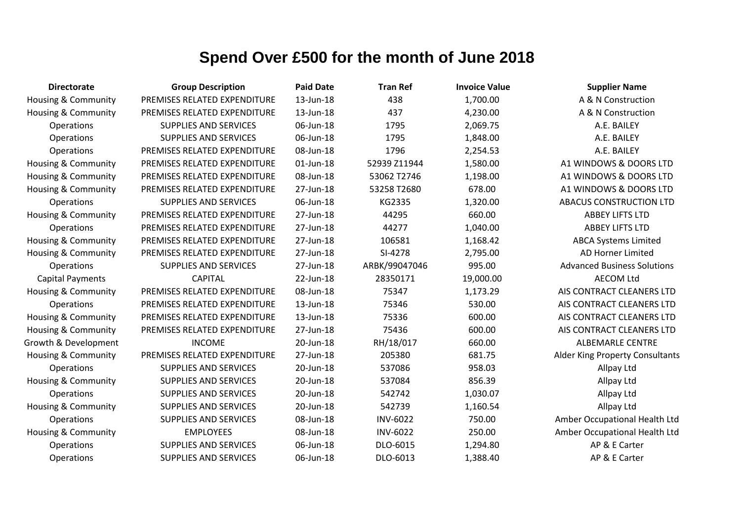| <b>Directorate</b>             | <b>Group Description</b>     | <b>Paid Date</b> | <b>Tran Ref</b> | <b>Invoice Value</b> | <b>Supplier Name</b>               |
|--------------------------------|------------------------------|------------------|-----------------|----------------------|------------------------------------|
| Housing & Community            | PREMISES RELATED EXPENDITURE | 13-Jun-18        | 438             | 1,700.00             | A & N Construction                 |
| Housing & Community            | PREMISES RELATED EXPENDITURE | 13-Jun-18        | 437             | 4,230.00             | A & N Construction                 |
| Operations                     | <b>SUPPLIES AND SERVICES</b> | 06-Jun-18        | 1795            | 2,069.75             | A.E. BAILEY                        |
| Operations                     | SUPPLIES AND SERVICES        | 06-Jun-18        | 1795            | 1,848.00             | A.E. BAILEY                        |
| Operations                     | PREMISES RELATED EXPENDITURE | 08-Jun-18        | 1796            | 2,254.53             | A.E. BAILEY                        |
| <b>Housing &amp; Community</b> | PREMISES RELATED EXPENDITURE | 01-Jun-18        | 52939 Z11944    | 1,580.00             | A1 WINDOWS & DOORS LTD             |
| Housing & Community            | PREMISES RELATED EXPENDITURE | 08-Jun-18        | 53062 T2746     | 1,198.00             | A1 WINDOWS & DOORS LTD             |
| Housing & Community            | PREMISES RELATED EXPENDITURE | 27-Jun-18        | 53258 T2680     | 678.00               | A1 WINDOWS & DOORS LTD             |
| <b>Operations</b>              | <b>SUPPLIES AND SERVICES</b> | 06-Jun-18        | KG2335          | 1,320.00             | ABACUS CONSTRUCTION LTD            |
| <b>Housing &amp; Community</b> | PREMISES RELATED EXPENDITURE | 27-Jun-18        | 44295           | 660.00               | <b>ABBEY LIFTS LTD</b>             |
| Operations                     | PREMISES RELATED EXPENDITURE | 27-Jun-18        | 44277           | 1,040.00             | <b>ABBEY LIFTS LTD</b>             |
| Housing & Community            | PREMISES RELATED EXPENDITURE | 27-Jun-18        | 106581          | 1,168.42             | <b>ABCA Systems Limited</b>        |
| Housing & Community            | PREMISES RELATED EXPENDITURE | 27-Jun-18        | SI-4278         | 2,795.00             | <b>AD Horner Limited</b>           |
| Operations                     | <b>SUPPLIES AND SERVICES</b> | 27-Jun-18        | ARBK/99047046   | 995.00               | <b>Advanced Business Solutions</b> |
| <b>Capital Payments</b>        | <b>CAPITAL</b>               | 22-Jun-18        | 28350171        | 19,000.00            | <b>AECOM Ltd</b>                   |
| Housing & Community            | PREMISES RELATED EXPENDITURE | 08-Jun-18        | 75347           | 1,173.29             | AIS CONTRACT CLEANERS LTD          |
| Operations                     | PREMISES RELATED EXPENDITURE | 13-Jun-18        | 75346           | 530.00               | AIS CONTRACT CLEANERS LTD          |
| Housing & Community            | PREMISES RELATED EXPENDITURE | 13-Jun-18        | 75336           | 600.00               | AIS CONTRACT CLEANERS LTD          |
| Housing & Community            | PREMISES RELATED EXPENDITURE | 27-Jun-18        | 75436           | 600.00               | AIS CONTRACT CLEANERS LTD          |
| Growth & Development           | <b>INCOME</b>                | 20-Jun-18        | RH/18/017       | 660.00               | <b>ALBEMARLE CENTRE</b>            |
| Housing & Community            | PREMISES RELATED EXPENDITURE | 27-Jun-18        | 205380          | 681.75               | Alder King Property Consultants    |
| Operations                     | <b>SUPPLIES AND SERVICES</b> | 20-Jun-18        | 537086          | 958.03               | Allpay Ltd                         |
| <b>Housing &amp; Community</b> | <b>SUPPLIES AND SERVICES</b> | 20-Jun-18        | 537084          | 856.39               | Allpay Ltd                         |
| Operations                     | <b>SUPPLIES AND SERVICES</b> | 20-Jun-18        | 542742          | 1,030.07             | Allpay Ltd                         |
| Housing & Community            | <b>SUPPLIES AND SERVICES</b> | 20-Jun-18        | 542739          | 1,160.54             | Allpay Ltd                         |
| Operations                     | <b>SUPPLIES AND SERVICES</b> | 08-Jun-18        | <b>INV-6022</b> | 750.00               | Amber Occupational Health Ltd      |
| Housing & Community            | <b>EMPLOYEES</b>             | 08-Jun-18        | <b>INV-6022</b> | 250.00               | Amber Occupational Health Ltd      |
| Operations                     | <b>SUPPLIES AND SERVICES</b> | 06-Jun-18        | DLO-6015        | 1,294.80             | AP & E Carter                      |
| Operations                     | <b>SUPPLIES AND SERVICES</b> | 06-Jun-18        | DLO-6013        | 1,388.40             | AP & E Carter                      |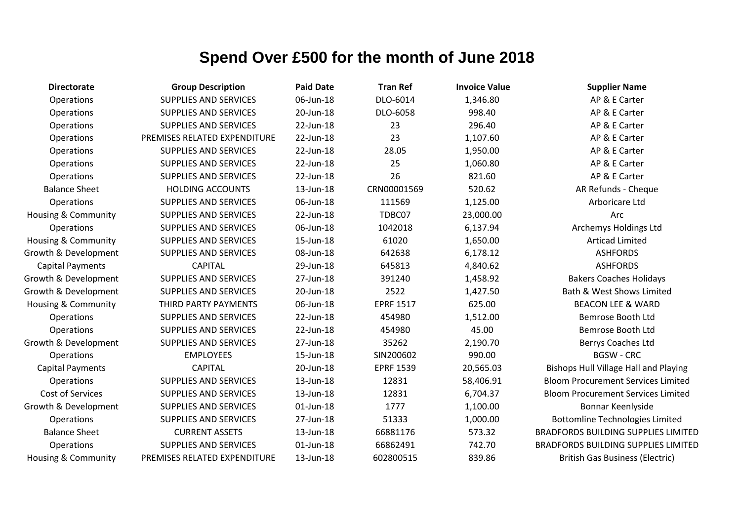| <b>Directorate</b>             | <b>Group Description</b>     | <b>Paid Date</b> | <b>Tran Ref</b>  | <b>Invoice Value</b> | <b>Supplier Name</b>                         |
|--------------------------------|------------------------------|------------------|------------------|----------------------|----------------------------------------------|
| Operations                     | <b>SUPPLIES AND SERVICES</b> | 06-Jun-18        | DLO-6014         | 1,346.80             | AP & E Carter                                |
| Operations                     | <b>SUPPLIES AND SERVICES</b> | 20-Jun-18        | DLO-6058         | 998.40               | AP & E Carter                                |
| Operations                     | <b>SUPPLIES AND SERVICES</b> | 22-Jun-18        | 23               | 296.40               | AP & E Carter                                |
| Operations                     | PREMISES RELATED EXPENDITURE | 22-Jun-18        | 23               | 1,107.60             | AP & E Carter                                |
| Operations                     | <b>SUPPLIES AND SERVICES</b> | 22-Jun-18        | 28.05            | 1,950.00             | AP & E Carter                                |
| Operations                     | <b>SUPPLIES AND SERVICES</b> | 22-Jun-18        | 25               | 1,060.80             | AP & E Carter                                |
| Operations                     | <b>SUPPLIES AND SERVICES</b> | 22-Jun-18        | 26               | 821.60               | AP & E Carter                                |
| <b>Balance Sheet</b>           | <b>HOLDING ACCOUNTS</b>      | 13-Jun-18        | CRN00001569      | 520.62               | AR Refunds - Cheque                          |
| Operations                     | <b>SUPPLIES AND SERVICES</b> | 06-Jun-18        | 111569           | 1,125.00             | Arboricare Ltd                               |
| Housing & Community            | <b>SUPPLIES AND SERVICES</b> | 22-Jun-18        | TDBC07           | 23,000.00            | Arc                                          |
| Operations                     | SUPPLIES AND SERVICES        | 06-Jun-18        | 1042018          | 6,137.94             | Archemys Holdings Ltd                        |
| <b>Housing &amp; Community</b> | <b>SUPPLIES AND SERVICES</b> | 15-Jun-18        | 61020            | 1,650.00             | <b>Articad Limited</b>                       |
| Growth & Development           | <b>SUPPLIES AND SERVICES</b> | 08-Jun-18        | 642638           | 6,178.12             | <b>ASHFORDS</b>                              |
| <b>Capital Payments</b>        | <b>CAPITAL</b>               | 29-Jun-18        | 645813           | 4,840.62             | <b>ASHFORDS</b>                              |
| Growth & Development           | <b>SUPPLIES AND SERVICES</b> | 27-Jun-18        | 391240           | 1,458.92             | <b>Bakers Coaches Holidays</b>               |
| Growth & Development           | <b>SUPPLIES AND SERVICES</b> | 20-Jun-18        | 2522             | 1,427.50             | <b>Bath &amp; West Shows Limited</b>         |
| Housing & Community            | THIRD PARTY PAYMENTS         | 06-Jun-18        | <b>EPRF 1517</b> | 625.00               | <b>BEACON LEE &amp; WARD</b>                 |
| Operations                     | <b>SUPPLIES AND SERVICES</b> | 22-Jun-18        | 454980           | 1,512.00             | Bemrose Booth Ltd                            |
| Operations                     | <b>SUPPLIES AND SERVICES</b> | 22-Jun-18        | 454980           | 45.00                | Bemrose Booth Ltd                            |
| Growth & Development           | <b>SUPPLIES AND SERVICES</b> | 27-Jun-18        | 35262            | 2,190.70             | Berrys Coaches Ltd                           |
| Operations                     | <b>EMPLOYEES</b>             | 15-Jun-18        | SIN200602        | 990.00               | <b>BGSW - CRC</b>                            |
| <b>Capital Payments</b>        | <b>CAPITAL</b>               | 20-Jun-18        | <b>EPRF 1539</b> | 20,565.03            | <b>Bishops Hull Village Hall and Playing</b> |
| Operations                     | <b>SUPPLIES AND SERVICES</b> | 13-Jun-18        | 12831            | 58,406.91            | <b>Bloom Procurement Services Limited</b>    |
| <b>Cost of Services</b>        | <b>SUPPLIES AND SERVICES</b> | 13-Jun-18        | 12831            | 6,704.37             | <b>Bloom Procurement Services Limited</b>    |
| Growth & Development           | <b>SUPPLIES AND SERVICES</b> | 01-Jun-18        | 1777             | 1,100.00             | Bonnar Keenlyside                            |
| Operations                     | <b>SUPPLIES AND SERVICES</b> | 27-Jun-18        | 51333            | 1,000.00             | <b>Bottomline Technologies Limited</b>       |
| <b>Balance Sheet</b>           | <b>CURRENT ASSETS</b>        | 13-Jun-18        | 66881176         | 573.32               | <b>BRADFORDS BUILDING SUPPLIES LIMITED</b>   |
| Operations                     | <b>SUPPLIES AND SERVICES</b> | 01-Jun-18        | 66862491         | 742.70               | <b>BRADFORDS BUILDING SUPPLIES LIMITED</b>   |
| <b>Housing &amp; Community</b> | PREMISES RELATED EXPENDITURE | 13-Jun-18        | 602800515        | 839.86               | <b>British Gas Business (Electric)</b>       |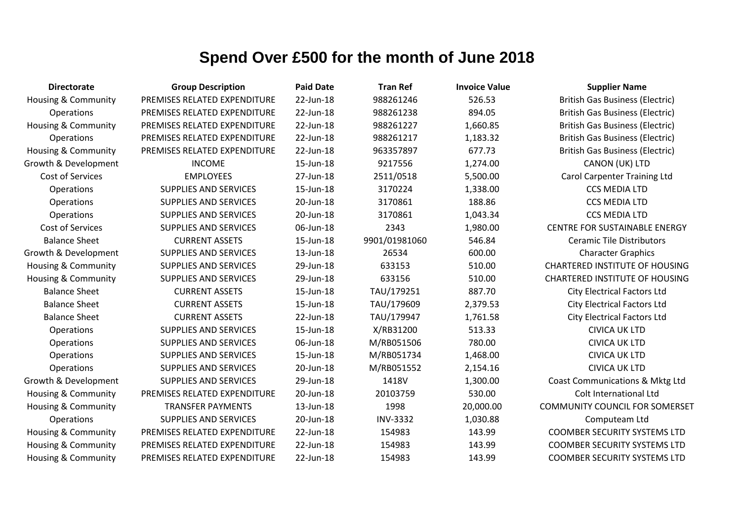| <b>Directorate</b>             | <b>Group Description</b>     | <b>Paid Date</b> | <b>Tran Ref</b> | <b>Invoice Value</b> | <b>Supplier Name</b>                   |
|--------------------------------|------------------------------|------------------|-----------------|----------------------|----------------------------------------|
| <b>Housing &amp; Community</b> | PREMISES RELATED EXPENDITURE | 22-Jun-18        | 988261246       | 526.53               | <b>British Gas Business (Electric)</b> |
| Operations                     | PREMISES RELATED EXPENDITURE | 22-Jun-18        | 988261238       | 894.05               | <b>British Gas Business (Electric)</b> |
| <b>Housing &amp; Community</b> | PREMISES RELATED EXPENDITURE | 22-Jun-18        | 988261227       | 1,660.85             | <b>British Gas Business (Electric)</b> |
| Operations                     | PREMISES RELATED EXPENDITURE | 22-Jun-18        | 988261217       | 1,183.32             | <b>British Gas Business (Electric)</b> |
| <b>Housing &amp; Community</b> | PREMISES RELATED EXPENDITURE | 22-Jun-18        | 963357897       | 677.73               | <b>British Gas Business (Electric)</b> |
| Growth & Development           | <b>INCOME</b>                | 15-Jun-18        | 9217556         | 1,274.00             | CANON (UK) LTD                         |
| Cost of Services               | <b>EMPLOYEES</b>             | 27-Jun-18        | 2511/0518       | 5,500.00             | <b>Carol Carpenter Training Ltd</b>    |
| Operations                     | <b>SUPPLIES AND SERVICES</b> | 15-Jun-18        | 3170224         | 1,338.00             | <b>CCS MEDIA LTD</b>                   |
| Operations                     | <b>SUPPLIES AND SERVICES</b> | 20-Jun-18        | 3170861         | 188.86               | <b>CCS MEDIA LTD</b>                   |
| Operations                     | <b>SUPPLIES AND SERVICES</b> | 20-Jun-18        | 3170861         | 1,043.34             | <b>CCS MEDIA LTD</b>                   |
| Cost of Services               | <b>SUPPLIES AND SERVICES</b> | 06-Jun-18        | 2343            | 1,980.00             | <b>CENTRE FOR SUSTAINABLE ENERGY</b>   |
| <b>Balance Sheet</b>           | <b>CURRENT ASSETS</b>        | 15-Jun-18        | 9901/01981060   | 546.84               | <b>Ceramic Tile Distributors</b>       |
| Growth & Development           | <b>SUPPLIES AND SERVICES</b> | 13-Jun-18        | 26534           | 600.00               | <b>Character Graphics</b>              |
| Housing & Community            | <b>SUPPLIES AND SERVICES</b> | 29-Jun-18        | 633153          | 510.00               | <b>CHARTERED INSTITUTE OF HOUSING</b>  |
| <b>Housing &amp; Community</b> | <b>SUPPLIES AND SERVICES</b> | 29-Jun-18        | 633156          | 510.00               | <b>CHARTERED INSTITUTE OF HOUSING</b>  |
| <b>Balance Sheet</b>           | <b>CURRENT ASSETS</b>        | 15-Jun-18        | TAU/179251      | 887.70               | <b>City Electrical Factors Ltd</b>     |
| <b>Balance Sheet</b>           | <b>CURRENT ASSETS</b>        | 15-Jun-18        | TAU/179609      | 2,379.53             | <b>City Electrical Factors Ltd</b>     |
| <b>Balance Sheet</b>           | <b>CURRENT ASSETS</b>        | 22-Jun-18        | TAU/179947      | 1,761.58             | <b>City Electrical Factors Ltd</b>     |
| Operations                     | <b>SUPPLIES AND SERVICES</b> | 15-Jun-18        | X/RB31200       | 513.33               | <b>CIVICA UK LTD</b>                   |
| Operations                     | <b>SUPPLIES AND SERVICES</b> | 06-Jun-18        | M/RB051506      | 780.00               | <b>CIVICA UK LTD</b>                   |
| Operations                     | <b>SUPPLIES AND SERVICES</b> | 15-Jun-18        | M/RB051734      | 1,468.00             | <b>CIVICA UK LTD</b>                   |
| Operations                     | <b>SUPPLIES AND SERVICES</b> | 20-Jun-18        | M/RB051552      | 2,154.16             | <b>CIVICA UK LTD</b>                   |
| Growth & Development           | <b>SUPPLIES AND SERVICES</b> | 29-Jun-18        | 1418V           | 1,300.00             | Coast Communications & Mktg Ltd        |
| <b>Housing &amp; Community</b> | PREMISES RELATED EXPENDITURE | 20-Jun-18        | 20103759        | 530.00               | Colt International Ltd                 |
| Housing & Community            | <b>TRANSFER PAYMENTS</b>     | 13-Jun-18        | 1998            | 20,000.00            | <b>COMMUNITY COUNCIL FOR SOMERSET</b>  |
| <b>Operations</b>              | <b>SUPPLIES AND SERVICES</b> | 20-Jun-18        | <b>INV-3332</b> | 1,030.88             | Computeam Ltd                          |
| Housing & Community            | PREMISES RELATED EXPENDITURE | 22-Jun-18        | 154983          | 143.99               | <b>COOMBER SECURITY SYSTEMS LTD</b>    |
| Housing & Community            | PREMISES RELATED EXPENDITURE | 22-Jun-18        | 154983          | 143.99               | <b>COOMBER SECURITY SYSTEMS LTD</b>    |
| Housing & Community            | PREMISES RELATED EXPENDITURE | 22-Jun-18        | 154983          | 143.99               | <b>COOMBER SECURITY SYSTEMS LTD</b>    |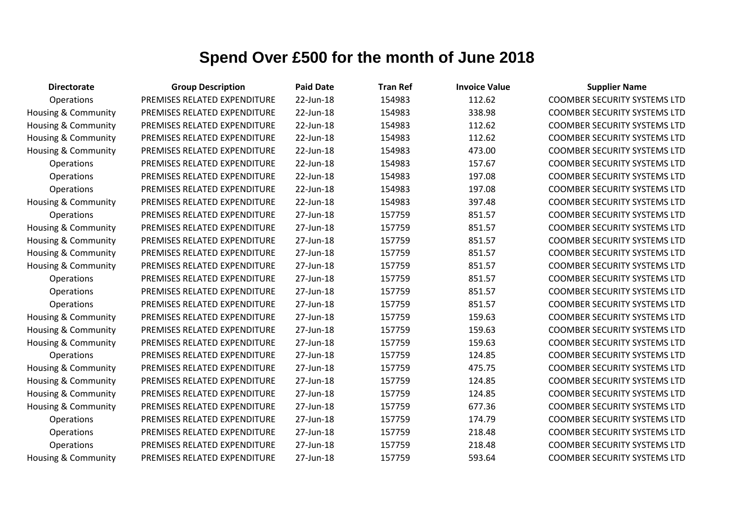| <b>Directorate</b>             | <b>Group Description</b>     | <b>Paid Date</b> | <b>Tran Ref</b> | <b>Invoice Value</b> | <b>Supplier Name</b>                |
|--------------------------------|------------------------------|------------------|-----------------|----------------------|-------------------------------------|
| Operations                     | PREMISES RELATED EXPENDITURE | 22-Jun-18        | 154983          | 112.62               | <b>COOMBER SECURITY SYSTEMS LTD</b> |
| Housing & Community            | PREMISES RELATED EXPENDITURE | 22-Jun-18        | 154983          | 338.98               | <b>COOMBER SECURITY SYSTEMS LTD</b> |
| Housing & Community            | PREMISES RELATED EXPENDITURE | 22-Jun-18        | 154983          | 112.62               | <b>COOMBER SECURITY SYSTEMS LTD</b> |
| Housing & Community            | PREMISES RELATED EXPENDITURE | 22-Jun-18        | 154983          | 112.62               | <b>COOMBER SECURITY SYSTEMS LTD</b> |
| Housing & Community            | PREMISES RELATED EXPENDITURE | 22-Jun-18        | 154983          | 473.00               | <b>COOMBER SECURITY SYSTEMS LTD</b> |
| Operations                     | PREMISES RELATED EXPENDITURE | 22-Jun-18        | 154983          | 157.67               | <b>COOMBER SECURITY SYSTEMS LTD</b> |
| Operations                     | PREMISES RELATED EXPENDITURE | 22-Jun-18        | 154983          | 197.08               | <b>COOMBER SECURITY SYSTEMS LTD</b> |
| Operations                     | PREMISES RELATED EXPENDITURE | 22-Jun-18        | 154983          | 197.08               | <b>COOMBER SECURITY SYSTEMS LTD</b> |
| <b>Housing &amp; Community</b> | PREMISES RELATED EXPENDITURE | 22-Jun-18        | 154983          | 397.48               | <b>COOMBER SECURITY SYSTEMS LTD</b> |
| Operations                     | PREMISES RELATED EXPENDITURE | 27-Jun-18        | 157759          | 851.57               | <b>COOMBER SECURITY SYSTEMS LTD</b> |
| Housing & Community            | PREMISES RELATED EXPENDITURE | 27-Jun-18        | 157759          | 851.57               | <b>COOMBER SECURITY SYSTEMS LTD</b> |
| Housing & Community            | PREMISES RELATED EXPENDITURE | 27-Jun-18        | 157759          | 851.57               | <b>COOMBER SECURITY SYSTEMS LTD</b> |
| Housing & Community            | PREMISES RELATED EXPENDITURE | 27-Jun-18        | 157759          | 851.57               | <b>COOMBER SECURITY SYSTEMS LTD</b> |
| Housing & Community            | PREMISES RELATED EXPENDITURE | 27-Jun-18        | 157759          | 851.57               | <b>COOMBER SECURITY SYSTEMS LTD</b> |
| Operations                     | PREMISES RELATED EXPENDITURE | 27-Jun-18        | 157759          | 851.57               | <b>COOMBER SECURITY SYSTEMS LTD</b> |
| Operations                     | PREMISES RELATED EXPENDITURE | 27-Jun-18        | 157759          | 851.57               | <b>COOMBER SECURITY SYSTEMS LTD</b> |
| Operations                     | PREMISES RELATED EXPENDITURE | 27-Jun-18        | 157759          | 851.57               | <b>COOMBER SECURITY SYSTEMS LTD</b> |
| Housing & Community            | PREMISES RELATED EXPENDITURE | 27-Jun-18        | 157759          | 159.63               | <b>COOMBER SECURITY SYSTEMS LTD</b> |
| Housing & Community            | PREMISES RELATED EXPENDITURE | 27-Jun-18        | 157759          | 159.63               | <b>COOMBER SECURITY SYSTEMS LTD</b> |
| Housing & Community            | PREMISES RELATED EXPENDITURE | 27-Jun-18        | 157759          | 159.63               | <b>COOMBER SECURITY SYSTEMS LTD</b> |
| Operations                     | PREMISES RELATED EXPENDITURE | 27-Jun-18        | 157759          | 124.85               | <b>COOMBER SECURITY SYSTEMS LTD</b> |
| Housing & Community            | PREMISES RELATED EXPENDITURE | 27-Jun-18        | 157759          | 475.75               | <b>COOMBER SECURITY SYSTEMS LTD</b> |
| Housing & Community            | PREMISES RELATED EXPENDITURE | 27-Jun-18        | 157759          | 124.85               | <b>COOMBER SECURITY SYSTEMS LTD</b> |
| Housing & Community            | PREMISES RELATED EXPENDITURE | 27-Jun-18        | 157759          | 124.85               | <b>COOMBER SECURITY SYSTEMS LTD</b> |
| <b>Housing &amp; Community</b> | PREMISES RELATED EXPENDITURE | 27-Jun-18        | 157759          | 677.36               | <b>COOMBER SECURITY SYSTEMS LTD</b> |
| Operations                     | PREMISES RELATED EXPENDITURE | 27-Jun-18        | 157759          | 174.79               | <b>COOMBER SECURITY SYSTEMS LTD</b> |
| Operations                     | PREMISES RELATED EXPENDITURE | 27-Jun-18        | 157759          | 218.48               | <b>COOMBER SECURITY SYSTEMS LTD</b> |
| Operations                     | PREMISES RELATED EXPENDITURE | 27-Jun-18        | 157759          | 218.48               | <b>COOMBER SECURITY SYSTEMS LTD</b> |
| Housing & Community            | PREMISES RELATED EXPENDITURE | 27-Jun-18        | 157759          | 593.64               | <b>COOMBER SECURITY SYSTEMS LTD</b> |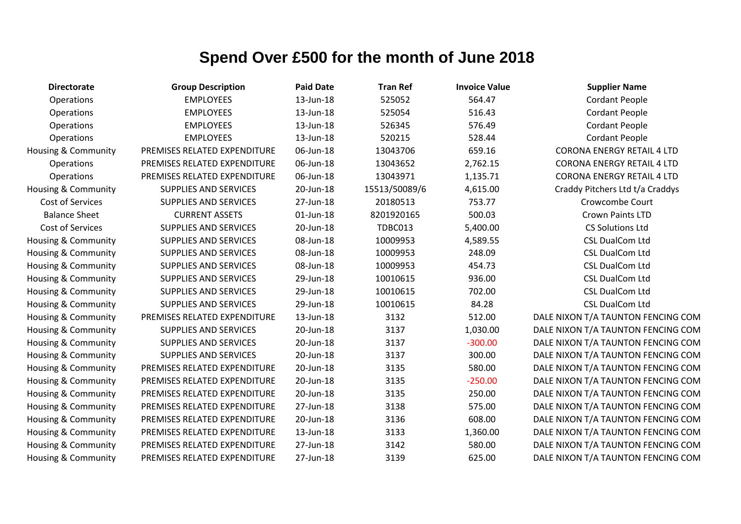| <b>Directorate</b>             | <b>Group Description</b>     | <b>Paid Date</b> | <b>Tran Ref</b> | <b>Invoice Value</b> | <b>Supplier Name</b>               |
|--------------------------------|------------------------------|------------------|-----------------|----------------------|------------------------------------|
| Operations                     | <b>EMPLOYEES</b>             | 13-Jun-18        | 525052          | 564.47               | <b>Cordant People</b>              |
| Operations                     | <b>EMPLOYEES</b>             | 13-Jun-18        | 525054          | 516.43               | Cordant People                     |
| Operations                     | <b>EMPLOYEES</b>             | 13-Jun-18        | 526345          | 576.49               | <b>Cordant People</b>              |
| <b>Operations</b>              | <b>EMPLOYEES</b>             | 13-Jun-18        | 520215          | 528.44               | <b>Cordant People</b>              |
| <b>Housing &amp; Community</b> | PREMISES RELATED EXPENDITURE | 06-Jun-18        | 13043706        | 659.16               | <b>CORONA ENERGY RETAIL 4 LTD</b>  |
| <b>Operations</b>              | PREMISES RELATED EXPENDITURE | 06-Jun-18        | 13043652        | 2,762.15             | <b>CORONA ENERGY RETAIL 4 LTD</b>  |
| Operations                     | PREMISES RELATED EXPENDITURE | 06-Jun-18        | 13043971        | 1,135.71             | <b>CORONA ENERGY RETAIL 4 LTD</b>  |
| <b>Housing &amp; Community</b> | <b>SUPPLIES AND SERVICES</b> | 20-Jun-18        | 15513/50089/6   | 4,615.00             | Craddy Pitchers Ltd t/a Craddys    |
| Cost of Services               | <b>SUPPLIES AND SERVICES</b> | 27-Jun-18        | 20180513        | 753.77               | Crowcombe Court                    |
| <b>Balance Sheet</b>           | <b>CURRENT ASSETS</b>        | 01-Jun-18        | 8201920165      | 500.03               | Crown Paints LTD                   |
| Cost of Services               | <b>SUPPLIES AND SERVICES</b> | 20-Jun-18        | TDBC013         | 5,400.00             | <b>CS Solutions Ltd</b>            |
| Housing & Community            | <b>SUPPLIES AND SERVICES</b> | 08-Jun-18        | 10009953        | 4,589.55             | <b>CSL DualCom Ltd</b>             |
| Housing & Community            | <b>SUPPLIES AND SERVICES</b> | 08-Jun-18        | 10009953        | 248.09               | <b>CSL DualCom Ltd</b>             |
| <b>Housing &amp; Community</b> | <b>SUPPLIES AND SERVICES</b> | 08-Jun-18        | 10009953        | 454.73               | <b>CSL DualCom Ltd</b>             |
| <b>Housing &amp; Community</b> | SUPPLIES AND SERVICES        | 29-Jun-18        | 10010615        | 936.00               | <b>CSL DualCom Ltd</b>             |
| Housing & Community            | <b>SUPPLIES AND SERVICES</b> | 29-Jun-18        | 10010615        | 702.00               | <b>CSL DualCom Ltd</b>             |
| <b>Housing &amp; Community</b> | <b>SUPPLIES AND SERVICES</b> | 29-Jun-18        | 10010615        | 84.28                | <b>CSL DualCom Ltd</b>             |
| <b>Housing &amp; Community</b> | PREMISES RELATED EXPENDITURE | 13-Jun-18        | 3132            | 512.00               | DALE NIXON T/A TAUNTON FENCING COM |
| <b>Housing &amp; Community</b> | <b>SUPPLIES AND SERVICES</b> | 20-Jun-18        | 3137            | 1,030.00             | DALE NIXON T/A TAUNTON FENCING COM |
| Housing & Community            | <b>SUPPLIES AND SERVICES</b> | 20-Jun-18        | 3137            | $-300.00$            | DALE NIXON T/A TAUNTON FENCING COM |
| Housing & Community            | <b>SUPPLIES AND SERVICES</b> | 20-Jun-18        | 3137            | 300.00               | DALE NIXON T/A TAUNTON FENCING COM |
| <b>Housing &amp; Community</b> | PREMISES RELATED EXPENDITURE | 20-Jun-18        | 3135            | 580.00               | DALE NIXON T/A TAUNTON FENCING COM |
| <b>Housing &amp; Community</b> | PREMISES RELATED EXPENDITURE | 20-Jun-18        | 3135            | $-250.00$            | DALE NIXON T/A TAUNTON FENCING COM |
| Housing & Community            | PREMISES RELATED EXPENDITURE | 20-Jun-18        | 3135            | 250.00               | DALE NIXON T/A TAUNTON FENCING COM |
| <b>Housing &amp; Community</b> | PREMISES RELATED EXPENDITURE | 27-Jun-18        | 3138            | 575.00               | DALE NIXON T/A TAUNTON FENCING COM |
| <b>Housing &amp; Community</b> | PREMISES RELATED EXPENDITURE | 20-Jun-18        | 3136            | 608.00               | DALE NIXON T/A TAUNTON FENCING COM |
| <b>Housing &amp; Community</b> | PREMISES RELATED EXPENDITURE | 13-Jun-18        | 3133            | 1,360.00             | DALE NIXON T/A TAUNTON FENCING COM |
| Housing & Community            | PREMISES RELATED EXPENDITURE | 27-Jun-18        | 3142            | 580.00               | DALE NIXON T/A TAUNTON FENCING COM |
| Housing & Community            | PREMISES RELATED EXPENDITURE | 27-Jun-18        | 3139            | 625.00               | DALE NIXON T/A TAUNTON FENCING COM |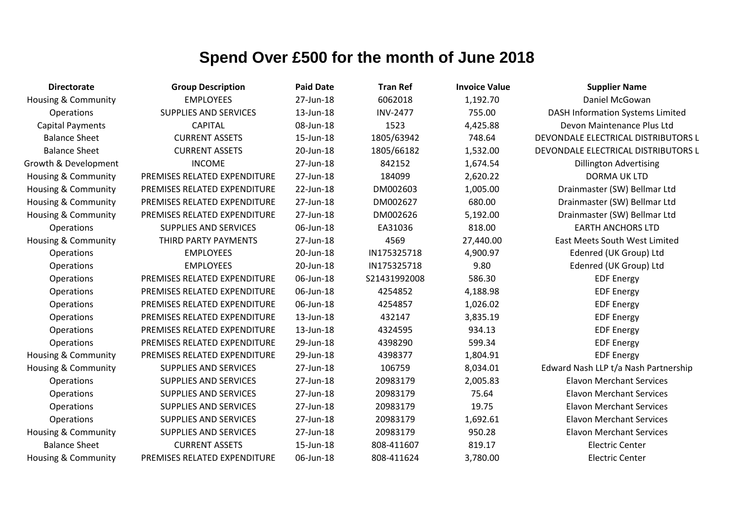| <b>Directorate</b>             | <b>Group Description</b>     | <b>Paid Date</b> | <b>Tran Ref</b> | <b>Invoice Value</b> | <b>Supplier Name</b>                    |
|--------------------------------|------------------------------|------------------|-----------------|----------------------|-----------------------------------------|
| <b>Housing &amp; Community</b> | <b>EMPLOYEES</b>             | 27-Jun-18        | 6062018         | 1,192.70             | Daniel McGowan                          |
| Operations                     | <b>SUPPLIES AND SERVICES</b> | 13-Jun-18        | <b>INV-2477</b> | 755.00               | <b>DASH Information Systems Limited</b> |
| <b>Capital Payments</b>        | <b>CAPITAL</b>               | 08-Jun-18        | 1523            | 4,425.88             | Devon Maintenance Plus Ltd              |
| <b>Balance Sheet</b>           | <b>CURRENT ASSETS</b>        | 15-Jun-18        | 1805/63942      | 748.64               | DEVONDALE ELECTRICAL DISTRIBUTORS L     |
| <b>Balance Sheet</b>           | <b>CURRENT ASSETS</b>        | 20-Jun-18        | 1805/66182      | 1,532.00             | DEVONDALE ELECTRICAL DISTRIBUTORS L     |
| Growth & Development           | <b>INCOME</b>                | 27-Jun-18        | 842152          | 1,674.54             | <b>Dillington Advertising</b>           |
| Housing & Community            | PREMISES RELATED EXPENDITURE | 27-Jun-18        | 184099          | 2,620.22             | <b>DORMA UK LTD</b>                     |
| Housing & Community            | PREMISES RELATED EXPENDITURE | 22-Jun-18        | DM002603        | 1,005.00             | Drainmaster (SW) Bellmar Ltd            |
| <b>Housing &amp; Community</b> | PREMISES RELATED EXPENDITURE | 27-Jun-18        | DM002627        | 680.00               | Drainmaster (SW) Bellmar Ltd            |
| <b>Housing &amp; Community</b> | PREMISES RELATED EXPENDITURE | 27-Jun-18        | DM002626        | 5,192.00             | Drainmaster (SW) Bellmar Ltd            |
| Operations                     | <b>SUPPLIES AND SERVICES</b> | 06-Jun-18        | EA31036         | 818.00               | <b>EARTH ANCHORS LTD</b>                |
| <b>Housing &amp; Community</b> | THIRD PARTY PAYMENTS         | 27-Jun-18        | 4569            | 27,440.00            | East Meets South West Limited           |
| Operations                     | <b>EMPLOYEES</b>             | 20-Jun-18        | IN175325718     | 4,900.97             | Edenred (UK Group) Ltd                  |
| Operations                     | <b>EMPLOYEES</b>             | 20-Jun-18        | IN175325718     | 9.80                 | Edenred (UK Group) Ltd                  |
| Operations                     | PREMISES RELATED EXPENDITURE | 06-Jun-18        | S21431992008    | 586.30               | <b>EDF Energy</b>                       |
| Operations                     | PREMISES RELATED EXPENDITURE | 06-Jun-18        | 4254852         | 4,188.98             | <b>EDF Energy</b>                       |
| Operations                     | PREMISES RELATED EXPENDITURE | 06-Jun-18        | 4254857         | 1,026.02             | <b>EDF Energy</b>                       |
| Operations                     | PREMISES RELATED EXPENDITURE | 13-Jun-18        | 432147          | 3,835.19             | <b>EDF Energy</b>                       |
| Operations                     | PREMISES RELATED EXPENDITURE | 13-Jun-18        | 4324595         | 934.13               | <b>EDF Energy</b>                       |
| Operations                     | PREMISES RELATED EXPENDITURE | 29-Jun-18        | 4398290         | 599.34               | <b>EDF Energy</b>                       |
| <b>Housing &amp; Community</b> | PREMISES RELATED EXPENDITURE | 29-Jun-18        | 4398377         | 1,804.91             | <b>EDF Energy</b>                       |
| <b>Housing &amp; Community</b> | <b>SUPPLIES AND SERVICES</b> | 27-Jun-18        | 106759          | 8,034.01             | Edward Nash LLP t/a Nash Partnership    |
| Operations                     | <b>SUPPLIES AND SERVICES</b> | 27-Jun-18        | 20983179        | 2,005.83             | <b>Elavon Merchant Services</b>         |
| Operations                     | <b>SUPPLIES AND SERVICES</b> | 27-Jun-18        | 20983179        | 75.64                | <b>Elavon Merchant Services</b>         |
| Operations                     | SUPPLIES AND SERVICES        | 27-Jun-18        | 20983179        | 19.75                | <b>Elavon Merchant Services</b>         |
| Operations                     | SUPPLIES AND SERVICES        | 27-Jun-18        | 20983179        | 1,692.61             | <b>Elavon Merchant Services</b>         |
| <b>Housing &amp; Community</b> | <b>SUPPLIES AND SERVICES</b> | 27-Jun-18        | 20983179        | 950.28               | <b>Elavon Merchant Services</b>         |
| <b>Balance Sheet</b>           | <b>CURRENT ASSETS</b>        | 15-Jun-18        | 808-411607      | 819.17               | <b>Electric Center</b>                  |
| <b>Housing &amp; Community</b> | PREMISES RELATED EXPENDITURE | 06-Jun-18        | 808-411624      | 3,780.00             | <b>Electric Center</b>                  |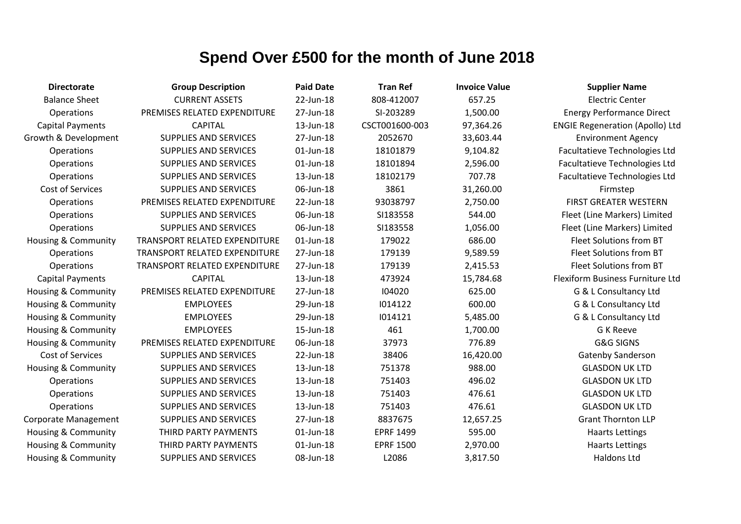| <b>Directorate</b>             | <b>Group Description</b>      | <b>Paid Date</b> | <b>Tran Ref</b>  | <b>Invoice Value</b> | <b>Supplier Name</b>                   |
|--------------------------------|-------------------------------|------------------|------------------|----------------------|----------------------------------------|
| <b>Balance Sheet</b>           | <b>CURRENT ASSETS</b>         | 22-Jun-18        | 808-412007       | 657.25               | <b>Electric Center</b>                 |
| Operations                     | PREMISES RELATED EXPENDITURE  | 27-Jun-18        | SI-203289        | 1,500.00             | <b>Energy Performance Direct</b>       |
| <b>Capital Payments</b>        | <b>CAPITAL</b>                | 13-Jun-18        | CSCT001600-003   | 97,364.26            | <b>ENGIE Regeneration (Apollo) Ltd</b> |
| Growth & Development           | <b>SUPPLIES AND SERVICES</b>  | 27-Jun-18        | 2052670          | 33,603.44            | <b>Environment Agency</b>              |
| Operations                     | SUPPLIES AND SERVICES         | $01$ -Jun-18     | 18101879         | 9,104.82             | Facultatieve Technologies Ltd          |
| Operations                     | SUPPLIES AND SERVICES         | 01-Jun-18        | 18101894         | 2,596.00             | Facultatieve Technologies Ltd          |
| Operations                     | SUPPLIES AND SERVICES         | 13-Jun-18        | 18102179         | 707.78               | Facultatieve Technologies Ltd          |
| <b>Cost of Services</b>        | <b>SUPPLIES AND SERVICES</b>  | 06-Jun-18        | 3861             | 31,260.00            | Firmstep                               |
| Operations                     | PREMISES RELATED EXPENDITURE  | 22-Jun-18        | 93038797         | 2,750.00             | <b>FIRST GREATER WESTERN</b>           |
| Operations                     | <b>SUPPLIES AND SERVICES</b>  | 06-Jun-18        | SI183558         | 544.00               | Fleet (Line Markers) Limited           |
| Operations                     | SUPPLIES AND SERVICES         | 06-Jun-18        | SI183558         | 1,056.00             | Fleet (Line Markers) Limited           |
| Housing & Community            | TRANSPORT RELATED EXPENDITURE | 01-Jun-18        | 179022           | 686.00               | Fleet Solutions from BT                |
| Operations                     | TRANSPORT RELATED EXPENDITURE | 27-Jun-18        | 179139           | 9,589.59             | Fleet Solutions from BT                |
| Operations                     | TRANSPORT RELATED EXPENDITURE | 27-Jun-18        | 179139           | 2,415.53             | Fleet Solutions from BT                |
| <b>Capital Payments</b>        | <b>CAPITAL</b>                | 13-Jun-18        | 473924           | 15,784.68            | Flexiform Business Furniture Ltd       |
| Housing & Community            | PREMISES RELATED EXPENDITURE  | 27-Jun-18        | 104020           | 625.00               | G & L Consultancy Ltd                  |
| Housing & Community            | <b>EMPLOYEES</b>              | 29-Jun-18        | 1014122          | 600.00               | G & L Consultancy Ltd                  |
| <b>Housing &amp; Community</b> | <b>EMPLOYEES</b>              | 29-Jun-18        | 1014121          | 5,485.00             | G & L Consultancy Ltd                  |
| Housing & Community            | <b>EMPLOYEES</b>              | 15-Jun-18        | 461              | 1,700.00             | <b>G K Reeve</b>                       |
| Housing & Community            | PREMISES RELATED EXPENDITURE  | 06-Jun-18        | 37973            | 776.89               | <b>G&amp;G SIGNS</b>                   |
| <b>Cost of Services</b>        | SUPPLIES AND SERVICES         | 22-Jun-18        | 38406            | 16,420.00            | Gatenby Sanderson                      |
| Housing & Community            | SUPPLIES AND SERVICES         | 13-Jun-18        | 751378           | 988.00               | <b>GLASDON UK LTD</b>                  |
| Operations                     | SUPPLIES AND SERVICES         | 13-Jun-18        | 751403           | 496.02               | <b>GLASDON UK LTD</b>                  |
| Operations                     | <b>SUPPLIES AND SERVICES</b>  | 13-Jun-18        | 751403           | 476.61               | <b>GLASDON UK LTD</b>                  |
| Operations                     | SUPPLIES AND SERVICES         | 13-Jun-18        | 751403           | 476.61               | <b>GLASDON UK LTD</b>                  |
| Corporate Management           | <b>SUPPLIES AND SERVICES</b>  | 27-Jun-18        | 8837675          | 12,657.25            | <b>Grant Thornton LLP</b>              |
| Housing & Community            | THIRD PARTY PAYMENTS          | 01-Jun-18        | <b>EPRF 1499</b> | 595.00               | <b>Haarts Lettings</b>                 |
| Housing & Community            | THIRD PARTY PAYMENTS          | 01-Jun-18        | <b>EPRF 1500</b> | 2,970.00             | <b>Haarts Lettings</b>                 |
| Housing & Community            | <b>SUPPLIES AND SERVICES</b>  | 08-Jun-18        | L2086            | 3,817.50             | <b>Haldons Ltd</b>                     |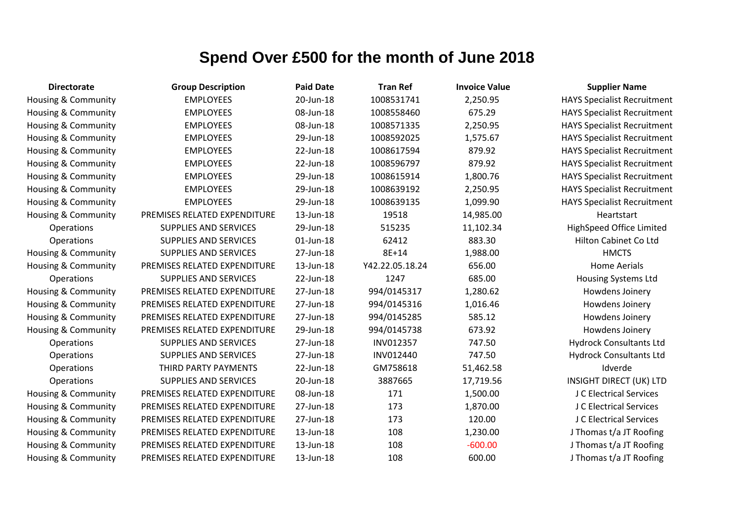| <b>Directorate</b>             | <b>Group Description</b>     | <b>Paid Date</b> | <b>Tran Ref</b> | <b>Invoice Value</b> | <b>Supplier Name</b>               |
|--------------------------------|------------------------------|------------------|-----------------|----------------------|------------------------------------|
| Housing & Community            | <b>EMPLOYEES</b>             | 20-Jun-18        | 1008531741      | 2,250.95             | <b>HAYS Specialist Recruitment</b> |
| Housing & Community            | <b>EMPLOYEES</b>             | 08-Jun-18        | 1008558460      | 675.29               | <b>HAYS Specialist Recruitment</b> |
| <b>Housing &amp; Community</b> | <b>EMPLOYEES</b>             | 08-Jun-18        | 1008571335      | 2,250.95             | <b>HAYS Specialist Recruitment</b> |
| <b>Housing &amp; Community</b> | <b>EMPLOYEES</b>             | 29-Jun-18        | 1008592025      | 1,575.67             | <b>HAYS Specialist Recruitment</b> |
| <b>Housing &amp; Community</b> | <b>EMPLOYEES</b>             | 22-Jun-18        | 1008617594      | 879.92               | <b>HAYS Specialist Recruitment</b> |
| <b>Housing &amp; Community</b> | <b>EMPLOYEES</b>             | 22-Jun-18        | 1008596797      | 879.92               | <b>HAYS Specialist Recruitment</b> |
| Housing & Community            | <b>EMPLOYEES</b>             | 29-Jun-18        | 1008615914      | 1,800.76             | <b>HAYS Specialist Recruitment</b> |
| <b>Housing &amp; Community</b> | <b>EMPLOYEES</b>             | 29-Jun-18        | 1008639192      | 2,250.95             | <b>HAYS Specialist Recruitment</b> |
| <b>Housing &amp; Community</b> | <b>EMPLOYEES</b>             | 29-Jun-18        | 1008639135      | 1,099.90             | <b>HAYS Specialist Recruitment</b> |
| <b>Housing &amp; Community</b> | PREMISES RELATED EXPENDITURE | 13-Jun-18        | 19518           | 14,985.00            | Heartstart                         |
| Operations                     | <b>SUPPLIES AND SERVICES</b> | 29-Jun-18        | 515235          | 11,102.34            | HighSpeed Office Limited           |
| Operations                     | <b>SUPPLIES AND SERVICES</b> | $01$ -Jun-18     | 62412           | 883.30               | Hilton Cabinet Co Ltd              |
| Housing & Community            | SUPPLIES AND SERVICES        | 27-Jun-18        | 8E+14           | 1,988.00             | <b>HMCTS</b>                       |
| <b>Housing &amp; Community</b> | PREMISES RELATED EXPENDITURE | 13-Jun-18        | Y42.22.05.18.24 | 656.00               | <b>Home Aerials</b>                |
| Operations                     | <b>SUPPLIES AND SERVICES</b> | 22-Jun-18        | 1247            | 685.00               | <b>Housing Systems Ltd</b>         |
| <b>Housing &amp; Community</b> | PREMISES RELATED EXPENDITURE | 27-Jun-18        | 994/0145317     | 1,280.62             | Howdens Joinery                    |
| <b>Housing &amp; Community</b> | PREMISES RELATED EXPENDITURE | 27-Jun-18        | 994/0145316     | 1,016.46             | Howdens Joinery                    |
| Housing & Community            | PREMISES RELATED EXPENDITURE | 27-Jun-18        | 994/0145285     | 585.12               | Howdens Joinery                    |
| <b>Housing &amp; Community</b> | PREMISES RELATED EXPENDITURE | 29-Jun-18        | 994/0145738     | 673.92               | Howdens Joinery                    |
| Operations                     | SUPPLIES AND SERVICES        | 27-Jun-18        | INV012357       | 747.50               | <b>Hydrock Consultants Ltd</b>     |
| Operations                     | SUPPLIES AND SERVICES        | 27-Jun-18        | INV012440       | 747.50               | <b>Hydrock Consultants Ltd</b>     |
| Operations                     | THIRD PARTY PAYMENTS         | 22-Jun-18        | GM758618        | 51,462.58            | Idverde                            |
| Operations                     | SUPPLIES AND SERVICES        | 20-Jun-18        | 3887665         | 17,719.56            | INSIGHT DIRECT (UK) LTD            |
| <b>Housing &amp; Community</b> | PREMISES RELATED EXPENDITURE | 08-Jun-18        | 171             | 1,500.00             | J C Electrical Services            |
| <b>Housing &amp; Community</b> | PREMISES RELATED EXPENDITURE | 27-Jun-18        | 173             | 1,870.00             | J C Electrical Services            |
| <b>Housing &amp; Community</b> | PREMISES RELATED EXPENDITURE | 27-Jun-18        | 173             | 120.00               | J C Electrical Services            |
| <b>Housing &amp; Community</b> | PREMISES RELATED EXPENDITURE | 13-Jun-18        | 108             | 1,230.00             | J Thomas t/a JT Roofing            |
| Housing & Community            | PREMISES RELATED EXPENDITURE | 13-Jun-18        | 108             | $-600.00$            | J Thomas t/a JT Roofing            |
| Housing & Community            | PREMISES RELATED EXPENDITURE | 13-Jun-18        | 108             | 600.00               | J Thomas t/a JT Roofing            |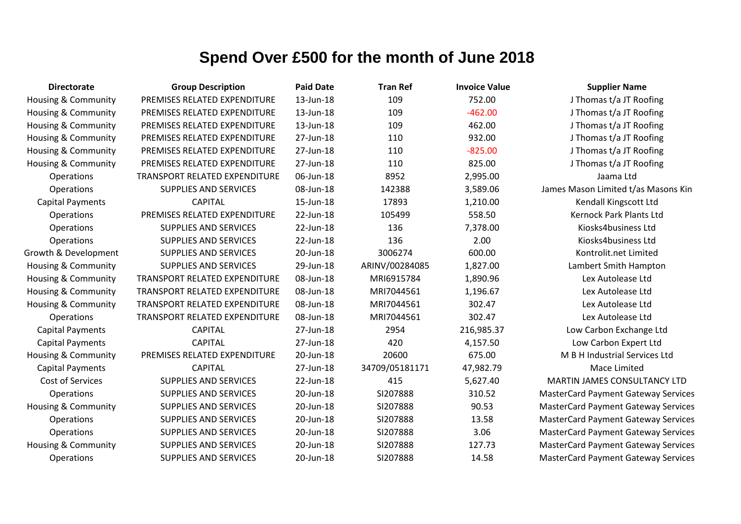| <b>Directorate</b>             | <b>Group Description</b>             | <b>Paid Date</b> | <b>Tran Ref</b> | <b>Invoice Value</b> | <b>Supplier Name</b>                       |
|--------------------------------|--------------------------------------|------------------|-----------------|----------------------|--------------------------------------------|
| Housing & Community            | PREMISES RELATED EXPENDITURE         | 13-Jun-18        | 109             | 752.00               | J Thomas t/a JT Roofing                    |
| Housing & Community            | PREMISES RELATED EXPENDITURE         | 13-Jun-18        | 109             | $-462.00$            | J Thomas t/a JT Roofing                    |
| Housing & Community            | PREMISES RELATED EXPENDITURE         | 13-Jun-18        | 109             | 462.00               | J Thomas t/a JT Roofing                    |
| Housing & Community            | PREMISES RELATED EXPENDITURE         | 27-Jun-18        | 110             | 932.00               | J Thomas t/a JT Roofing                    |
| <b>Housing &amp; Community</b> | PREMISES RELATED EXPENDITURE         | 27-Jun-18        | 110             | $-825.00$            | J Thomas t/a JT Roofing                    |
| <b>Housing &amp; Community</b> | PREMISES RELATED EXPENDITURE         | 27-Jun-18        | 110             | 825.00               | J Thomas t/a JT Roofing                    |
| Operations                     | <b>TRANSPORT RELATED EXPENDITURE</b> | 06-Jun-18        | 8952            | 2,995.00             | Jaama Ltd                                  |
| Operations                     | <b>SUPPLIES AND SERVICES</b>         | 08-Jun-18        | 142388          | 3,589.06             | James Mason Limited t/as Masons Kin        |
| <b>Capital Payments</b>        | <b>CAPITAL</b>                       | 15-Jun-18        | 17893           | 1,210.00             | Kendall Kingscott Ltd                      |
| Operations                     | PREMISES RELATED EXPENDITURE         | 22-Jun-18        | 105499          | 558.50               | <b>Kernock Park Plants Ltd</b>             |
| Operations                     | SUPPLIES AND SERVICES                | 22-Jun-18        | 136             | 7,378.00             | Kiosks4business Ltd                        |
| Operations                     | <b>SUPPLIES AND SERVICES</b>         | 22-Jun-18        | 136             | 2.00                 | Kiosks4business Ltd                        |
| Growth & Development           | SUPPLIES AND SERVICES                | 20-Jun-18        | 3006274         | 600.00               | Kontrolit.net Limited                      |
| <b>Housing &amp; Community</b> | <b>SUPPLIES AND SERVICES</b>         | 29-Jun-18        | ARINV/00284085  | 1,827.00             | Lambert Smith Hampton                      |
| Housing & Community            | <b>TRANSPORT RELATED EXPENDITURE</b> | 08-Jun-18        | MRI6915784      | 1,890.96             | Lex Autolease Ltd                          |
| Housing & Community            | TRANSPORT RELATED EXPENDITURE        | 08-Jun-18        | MRI7044561      | 1,196.67             | Lex Autolease Ltd                          |
| Housing & Community            | TRANSPORT RELATED EXPENDITURE        | 08-Jun-18        | MRI7044561      | 302.47               | Lex Autolease Ltd                          |
| Operations                     | <b>TRANSPORT RELATED EXPENDITURE</b> | 08-Jun-18        | MRI7044561      | 302.47               | Lex Autolease Ltd                          |
| <b>Capital Payments</b>        | <b>CAPITAL</b>                       | 27-Jun-18        | 2954            | 216,985.37           | Low Carbon Exchange Ltd                    |
| <b>Capital Payments</b>        | <b>CAPITAL</b>                       | 27-Jun-18        | 420             | 4,157.50             | Low Carbon Expert Ltd                      |
| Housing & Community            | PREMISES RELATED EXPENDITURE         | 20-Jun-18        | 20600           | 675.00               | M B H Industrial Services Ltd              |
| <b>Capital Payments</b>        | <b>CAPITAL</b>                       | 27-Jun-18        | 34709/05181171  | 47,982.79            | Mace Limited                               |
| Cost of Services               | SUPPLIES AND SERVICES                | 22-Jun-18        | 415             | 5,627.40             | MARTIN JAMES CONSULTANCY LTD               |
| Operations                     | <b>SUPPLIES AND SERVICES</b>         | 20-Jun-18        | SI207888        | 310.52               | <b>MasterCard Payment Gateway Services</b> |
| Housing & Community            | <b>SUPPLIES AND SERVICES</b>         | 20-Jun-18        | SI207888        | 90.53                | <b>MasterCard Payment Gateway Services</b> |
| <b>Operations</b>              | <b>SUPPLIES AND SERVICES</b>         | 20-Jun-18        | SI207888        | 13.58                | <b>MasterCard Payment Gateway Services</b> |
| Operations                     | <b>SUPPLIES AND SERVICES</b>         | 20-Jun-18        | SI207888        | 3.06                 | <b>MasterCard Payment Gateway Services</b> |
| <b>Housing &amp; Community</b> | <b>SUPPLIES AND SERVICES</b>         | 20-Jun-18        | SI207888        | 127.73               | <b>MasterCard Payment Gateway Services</b> |
| <b>Operations</b>              | <b>SUPPLIES AND SERVICES</b>         | 20-Jun-18        | SI207888        | 14.58                | <b>MasterCard Payment Gateway Services</b> |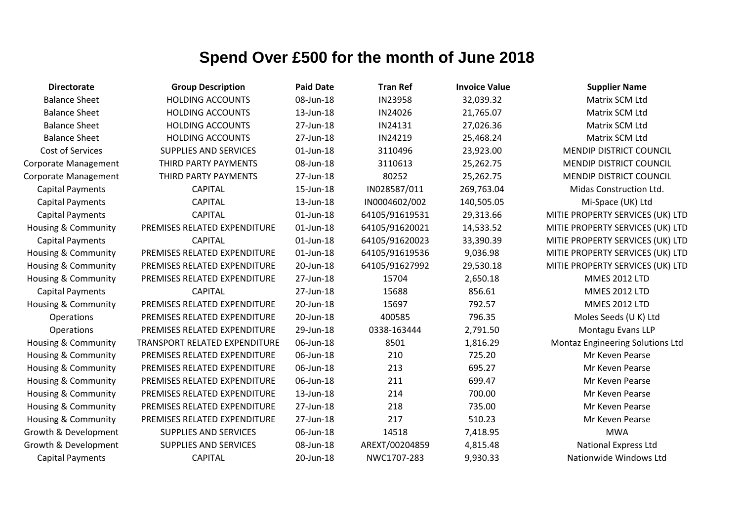| <b>Directorate</b>             | <b>Group Description</b>      | <b>Paid Date</b> | <b>Tran Ref</b> | <b>Invoice Value</b> | <b>Supplier Name</b>             |
|--------------------------------|-------------------------------|------------------|-----------------|----------------------|----------------------------------|
| <b>Balance Sheet</b>           | <b>HOLDING ACCOUNTS</b>       | 08-Jun-18        | IN23958         | 32,039.32            | Matrix SCM Ltd                   |
| <b>Balance Sheet</b>           | <b>HOLDING ACCOUNTS</b>       | 13-Jun-18        | IN24026         | 21,765.07            | Matrix SCM Ltd                   |
| <b>Balance Sheet</b>           | <b>HOLDING ACCOUNTS</b>       | 27-Jun-18        | IN24131         | 27,026.36            | Matrix SCM Ltd                   |
| <b>Balance Sheet</b>           | <b>HOLDING ACCOUNTS</b>       | 27-Jun-18        | IN24219         | 25,468.24            | Matrix SCM Ltd                   |
| Cost of Services               | <b>SUPPLIES AND SERVICES</b>  | 01-Jun-18        | 3110496         | 23,923.00            | <b>MENDIP DISTRICT COUNCIL</b>   |
| Corporate Management           | THIRD PARTY PAYMENTS          | 08-Jun-18        | 3110613         | 25,262.75            | <b>MENDIP DISTRICT COUNCIL</b>   |
| Corporate Management           | THIRD PARTY PAYMENTS          | 27-Jun-18        | 80252           | 25,262.75            | <b>MENDIP DISTRICT COUNCIL</b>   |
| <b>Capital Payments</b>        | <b>CAPITAL</b>                | 15-Jun-18        | IN028587/011    | 269,763.04           | Midas Construction Ltd.          |
| <b>Capital Payments</b>        | <b>CAPITAL</b>                | 13-Jun-18        | IN0004602/002   | 140,505.05           | Mi-Space (UK) Ltd                |
| <b>Capital Payments</b>        | <b>CAPITAL</b>                | 01-Jun-18        | 64105/91619531  | 29,313.66            | MITIE PROPERTY SERVICES (UK) LTD |
| Housing & Community            | PREMISES RELATED EXPENDITURE  | 01-Jun-18        | 64105/91620021  | 14,533.52            | MITIE PROPERTY SERVICES (UK) LTD |
| <b>Capital Payments</b>        | <b>CAPITAL</b>                | 01-Jun-18        | 64105/91620023  | 33,390.39            | MITIE PROPERTY SERVICES (UK) LTD |
| Housing & Community            | PREMISES RELATED EXPENDITURE  | 01-Jun-18        | 64105/91619536  | 9,036.98             | MITIE PROPERTY SERVICES (UK) LTD |
| <b>Housing &amp; Community</b> | PREMISES RELATED EXPENDITURE  | 20-Jun-18        | 64105/91627992  | 29,530.18            | MITIE PROPERTY SERVICES (UK) LTD |
| <b>Housing &amp; Community</b> | PREMISES RELATED EXPENDITURE  | 27-Jun-18        | 15704           | 2,650.18             | <b>MMES 2012 LTD</b>             |
| <b>Capital Payments</b>        | <b>CAPITAL</b>                | 27-Jun-18        | 15688           | 856.61               | <b>MMES 2012 LTD</b>             |
| Housing & Community            | PREMISES RELATED EXPENDITURE  | 20-Jun-18        | 15697           | 792.57               | <b>MMES 2012 LTD</b>             |
| Operations                     | PREMISES RELATED EXPENDITURE  | 20-Jun-18        | 400585          | 796.35               | Moles Seeds (U K) Ltd            |
| Operations                     | PREMISES RELATED EXPENDITURE  | 29-Jun-18        | 0338-163444     | 2,791.50             | Montagu Evans LLP                |
| Housing & Community            | TRANSPORT RELATED EXPENDITURE | 06-Jun-18        | 8501            | 1,816.29             | Montaz Engineering Solutions Ltd |
| <b>Housing &amp; Community</b> | PREMISES RELATED EXPENDITURE  | 06-Jun-18        | 210             | 725.20               | Mr Keven Pearse                  |
| <b>Housing &amp; Community</b> | PREMISES RELATED EXPENDITURE  | 06-Jun-18        | 213             | 695.27               | Mr Keven Pearse                  |
| Housing & Community            | PREMISES RELATED EXPENDITURE  | 06-Jun-18        | 211             | 699.47               | Mr Keven Pearse                  |
| <b>Housing &amp; Community</b> | PREMISES RELATED EXPENDITURE  | 13-Jun-18        | 214             | 700.00               | Mr Keven Pearse                  |
| <b>Housing &amp; Community</b> | PREMISES RELATED EXPENDITURE  | 27-Jun-18        | 218             | 735.00               | Mr Keven Pearse                  |
| Housing & Community            | PREMISES RELATED EXPENDITURE  | 27-Jun-18        | 217             | 510.23               | Mr Keven Pearse                  |
| Growth & Development           | <b>SUPPLIES AND SERVICES</b>  | 06-Jun-18        | 14518           | 7,418.95             | <b>MWA</b>                       |
| Growth & Development           | <b>SUPPLIES AND SERVICES</b>  | 08-Jun-18        | AREXT/00204859  | 4,815.48             | National Express Ltd             |
| <b>Capital Payments</b>        | <b>CAPITAL</b>                | 20-Jun-18        | NWC1707-283     | 9,930.33             | Nationwide Windows Ltd           |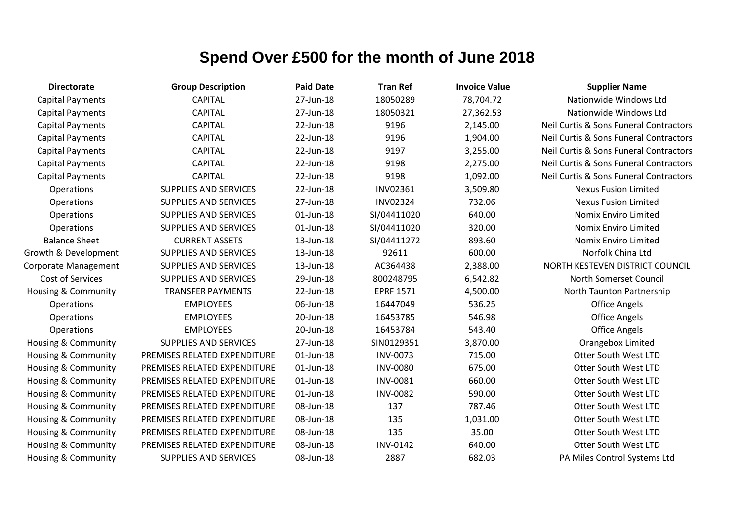| <b>Directorate</b>             | <b>Group Description</b>     | <b>Paid Date</b> | <b>Tran Ref</b>  | <b>Invoice Value</b> | <b>Supplier Name</b>                   |
|--------------------------------|------------------------------|------------------|------------------|----------------------|----------------------------------------|
| <b>Capital Payments</b>        | <b>CAPITAL</b>               | 27-Jun-18        | 18050289         | 78,704.72            | Nationwide Windows Ltd                 |
| <b>Capital Payments</b>        | <b>CAPITAL</b>               | 27-Jun-18        | 18050321         | 27,362.53            | Nationwide Windows Ltd                 |
| <b>Capital Payments</b>        | <b>CAPITAL</b>               | 22-Jun-18        | 9196             | 2,145.00             | Neil Curtis & Sons Funeral Contractors |
| <b>Capital Payments</b>        | <b>CAPITAL</b>               | 22-Jun-18        | 9196             | 1,904.00             | Neil Curtis & Sons Funeral Contractors |
| <b>Capital Payments</b>        | <b>CAPITAL</b>               | 22-Jun-18        | 9197             | 3,255.00             | Neil Curtis & Sons Funeral Contractors |
| <b>Capital Payments</b>        | <b>CAPITAL</b>               | 22-Jun-18        | 9198             | 2,275.00             | Neil Curtis & Sons Funeral Contractors |
| <b>Capital Payments</b>        | <b>CAPITAL</b>               | 22-Jun-18        | 9198             | 1,092.00             | Neil Curtis & Sons Funeral Contractors |
| Operations                     | <b>SUPPLIES AND SERVICES</b> | 22-Jun-18        | INV02361         | 3,509.80             | <b>Nexus Fusion Limited</b>            |
| Operations                     | <b>SUPPLIES AND SERVICES</b> | 27-Jun-18        | <b>INV02324</b>  | 732.06               | <b>Nexus Fusion Limited</b>            |
| Operations                     | <b>SUPPLIES AND SERVICES</b> | 01-Jun-18        | SI/04411020      | 640.00               | Nomix Enviro Limited                   |
| Operations                     | <b>SUPPLIES AND SERVICES</b> | 01-Jun-18        | SI/04411020      | 320.00               | Nomix Enviro Limited                   |
| <b>Balance Sheet</b>           | <b>CURRENT ASSETS</b>        | 13-Jun-18        | SI/04411272      | 893.60               | <b>Nomix Enviro Limited</b>            |
| Growth & Development           | <b>SUPPLIES AND SERVICES</b> | 13-Jun-18        | 92611            | 600.00               | Norfolk China Ltd                      |
| <b>Corporate Management</b>    | <b>SUPPLIES AND SERVICES</b> | 13-Jun-18        | AC364438         | 2,388.00             | NORTH KESTEVEN DISTRICT COUNCIL        |
| <b>Cost of Services</b>        | <b>SUPPLIES AND SERVICES</b> | 29-Jun-18        | 800248795        | 6,542.82             | North Somerset Council                 |
| <b>Housing &amp; Community</b> | <b>TRANSFER PAYMENTS</b>     | 22-Jun-18        | <b>EPRF 1571</b> | 4,500.00             | North Taunton Partnership              |
| <b>Operations</b>              | <b>EMPLOYEES</b>             | 06-Jun-18        | 16447049         | 536.25               | <b>Office Angels</b>                   |
| Operations                     | <b>EMPLOYEES</b>             | 20-Jun-18        | 16453785         | 546.98               | <b>Office Angels</b>                   |
| Operations                     | <b>EMPLOYEES</b>             | 20-Jun-18        | 16453784         | 543.40               | <b>Office Angels</b>                   |
| <b>Housing &amp; Community</b> | <b>SUPPLIES AND SERVICES</b> | 27-Jun-18        | SIN0129351       | 3,870.00             | Orangebox Limited                      |
| Housing & Community            | PREMISES RELATED EXPENDITURE | 01-Jun-18        | <b>INV-0073</b>  | 715.00               | Otter South West LTD                   |
| <b>Housing &amp; Community</b> | PREMISES RELATED EXPENDITURE | 01-Jun-18        | <b>INV-0080</b>  | 675.00               | Otter South West LTD                   |
| Housing & Community            | PREMISES RELATED EXPENDITURE | 01-Jun-18        | <b>INV-0081</b>  | 660.00               | <b>Otter South West LTD</b>            |
| Housing & Community            | PREMISES RELATED EXPENDITURE | 01-Jun-18        | <b>INV-0082</b>  | 590.00               | <b>Otter South West LTD</b>            |
| Housing & Community            | PREMISES RELATED EXPENDITURE | 08-Jun-18        | 137              | 787.46               | Otter South West LTD                   |
| <b>Housing &amp; Community</b> | PREMISES RELATED EXPENDITURE | 08-Jun-18        | 135              | 1,031.00             | Otter South West LTD                   |
| Housing & Community            | PREMISES RELATED EXPENDITURE | 08-Jun-18        | 135              | 35.00                | Otter South West LTD                   |
| Housing & Community            | PREMISES RELATED EXPENDITURE | 08-Jun-18        | <b>INV-0142</b>  | 640.00               | Otter South West LTD                   |
| <b>Housing &amp; Community</b> | <b>SUPPLIES AND SERVICES</b> | 08-Jun-18        | 2887             | 682.03               | PA Miles Control Systems Ltd           |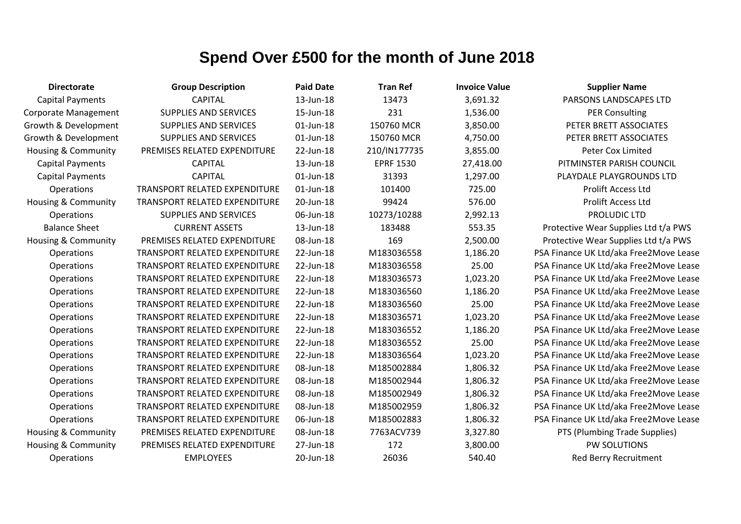| <b>Directorate</b>             | <b>Group Description</b>             | <b>Paid Date</b> | <b>Tran Ref</b>  | <b>Invoice Value</b> | <b>Supplier Name</b>                   |
|--------------------------------|--------------------------------------|------------------|------------------|----------------------|----------------------------------------|
| <b>Capital Payments</b>        | <b>CAPITAL</b>                       | 13-Jun-18        | 13473            | 3,691.32             | PARSONS LANDSCAPES LTD                 |
| Corporate Management           | <b>SUPPLIES AND SERVICES</b>         | 15-Jun-18        | 231              | 1,536.00             | <b>PER Consulting</b>                  |
| Growth & Development           | <b>SUPPLIES AND SERVICES</b>         | 01-Jun-18        | 150760 MCR       | 3,850.00             | PETER BRETT ASSOCIATES                 |
| Growth & Development           | <b>SUPPLIES AND SERVICES</b>         | 01-Jun-18        | 150760 MCR       | 4,750.00             | PETER BRETT ASSOCIATES                 |
| <b>Housing &amp; Community</b> | PREMISES RELATED EXPENDITURE         | 22-Jun-18        | 210/IN177735     | 3,855.00             | Peter Cox Limited                      |
| <b>Capital Payments</b>        | <b>CAPITAL</b>                       | 13-Jun-18        | <b>EPRF 1530</b> | 27,418.00            | PITMINSTER PARISH COUNCIL              |
| <b>Capital Payments</b>        | <b>CAPITAL</b>                       | 01-Jun-18        | 31393            | 1,297.00             | PLAYDALE PLAYGROUNDS LTD               |
| Operations                     | <b>TRANSPORT RELATED EXPENDITURE</b> | 01-Jun-18        | 101400           | 725.00               | Prolift Access Ltd                     |
| <b>Housing &amp; Community</b> | TRANSPORT RELATED EXPENDITURE        | 20-Jun-18        | 99424            | 576.00               | <b>Prolift Access Ltd</b>              |
| Operations                     | <b>SUPPLIES AND SERVICES</b>         | 06-Jun-18        | 10273/10288      | 2,992.13             | PROLUDIC LTD                           |
| <b>Balance Sheet</b>           | <b>CURRENT ASSETS</b>                | 13-Jun-18        | 183488           | 553.35               | Protective Wear Supplies Ltd t/a PWS   |
| <b>Housing &amp; Community</b> | PREMISES RELATED EXPENDITURE         | 08-Jun-18        | 169              | 2,500.00             | Protective Wear Supplies Ltd t/a PWS   |
| Operations                     | TRANSPORT RELATED EXPENDITURE        | 22-Jun-18        | M183036558       | 1,186.20             | PSA Finance UK Ltd/aka Free2Move Lease |
| Operations                     | TRANSPORT RELATED EXPENDITURE        | 22-Jun-18        | M183036558       | 25.00                | PSA Finance UK Ltd/aka Free2Move Lease |
| Operations                     | <b>TRANSPORT RELATED EXPENDITURE</b> | 22-Jun-18        | M183036573       | 1,023.20             | PSA Finance UK Ltd/aka Free2Move Lease |
| Operations                     | <b>TRANSPORT RELATED EXPENDITURE</b> | 22-Jun-18        | M183036560       | 1,186.20             | PSA Finance UK Ltd/aka Free2Move Lease |
| Operations                     | TRANSPORT RELATED EXPENDITURE        | 22-Jun-18        | M183036560       | 25.00                | PSA Finance UK Ltd/aka Free2Move Lease |
| Operations                     | TRANSPORT RELATED EXPENDITURE        | 22-Jun-18        | M183036571       | 1,023.20             | PSA Finance UK Ltd/aka Free2Move Lease |
| Operations                     | <b>TRANSPORT RELATED EXPENDITURE</b> | 22-Jun-18        | M183036552       | 1,186.20             | PSA Finance UK Ltd/aka Free2Move Lease |
| Operations                     | <b>TRANSPORT RELATED EXPENDITURE</b> | 22-Jun-18        | M183036552       | 25.00                | PSA Finance UK Ltd/aka Free2Move Lease |
| Operations                     | TRANSPORT RELATED EXPENDITURE        | 22-Jun-18        | M183036564       | 1,023.20             | PSA Finance UK Ltd/aka Free2Move Lease |
| Operations                     | TRANSPORT RELATED EXPENDITURE        | 08-Jun-18        | M185002884       | 1,806.32             | PSA Finance UK Ltd/aka Free2Move Lease |
| Operations                     | <b>TRANSPORT RELATED EXPENDITURE</b> | 08-Jun-18        | M185002944       | 1,806.32             | PSA Finance UK Ltd/aka Free2Move Lease |
| Operations                     | <b>TRANSPORT RELATED EXPENDITURE</b> | 08-Jun-18        | M185002949       | 1,806.32             | PSA Finance UK Ltd/aka Free2Move Lease |
| Operations                     | TRANSPORT RELATED EXPENDITURE        | 08-Jun-18        | M185002959       | 1,806.32             | PSA Finance UK Ltd/aka Free2Move Lease |
| Operations                     | <b>TRANSPORT RELATED EXPENDITURE</b> | 06-Jun-18        | M185002883       | 1,806.32             | PSA Finance UK Ltd/aka Free2Move Lease |
| Housing & Community            | PREMISES RELATED EXPENDITURE         | 08-Jun-18        | 7763ACV739       | 3,327.80             | PTS (Plumbing Trade Supplies)          |
| Housing & Community            | PREMISES RELATED EXPENDITURE         | 27-Jun-18        | 172              | 3,800.00             | PW SOLUTIONS                           |
| Operations                     | <b>EMPLOYEES</b>                     | 20-Jun-18        | 26036            | 540.40               | Red Berry Recruitment                  |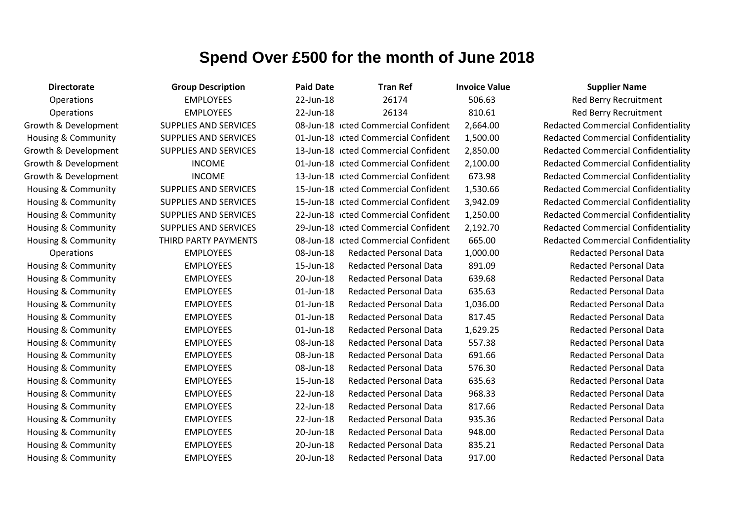| <b>Directorate</b>   | <b>Group Description</b>     | <b>Paid Date</b> | <b>Tran Ref</b>                      | <b>Invoice Value</b> | <b>Supplier Name</b>                       |
|----------------------|------------------------------|------------------|--------------------------------------|----------------------|--------------------------------------------|
| Operations           | <b>EMPLOYEES</b>             | 22-Jun-18        | 26174                                | 506.63               | Red Berry Recruitment                      |
| Operations           | <b>EMPLOYEES</b>             | 22-Jun-18        | 26134                                | 810.61               | Red Berry Recruitment                      |
| Growth & Development | <b>SUPPLIES AND SERVICES</b> |                  | 08-Jun-18 icted Commercial Confident | 2,664.00             | <b>Redacted Commercial Confidentiality</b> |
| Housing & Community  | <b>SUPPLIES AND SERVICES</b> |                  | 01-Jun-18 icted Commercial Confident | 1,500.00             | <b>Redacted Commercial Confidentiality</b> |
| Growth & Development | <b>SUPPLIES AND SERVICES</b> |                  | 13-Jun-18 icted Commercial Confident | 2,850.00             | <b>Redacted Commercial Confidentiality</b> |
| Growth & Development | <b>INCOME</b>                |                  | 01-Jun-18 icted Commercial Confident | 2,100.00             | <b>Redacted Commercial Confidentiality</b> |
| Growth & Development | <b>INCOME</b>                |                  | 13-Jun-18 icted Commercial Confident | 673.98               | <b>Redacted Commercial Confidentiality</b> |
| Housing & Community  | <b>SUPPLIES AND SERVICES</b> |                  | 15-Jun-18 Icted Commercial Confident | 1,530.66             | <b>Redacted Commercial Confidentiality</b> |
| Housing & Community  | <b>SUPPLIES AND SERVICES</b> |                  | 15-Jun-18 icted Commercial Confident | 3,942.09             | <b>Redacted Commercial Confidentiality</b> |
| Housing & Community  | SUPPLIES AND SERVICES        |                  | 22-Jun-18 icted Commercial Confident | 1,250.00             | <b>Redacted Commercial Confidentiality</b> |
| Housing & Community  | <b>SUPPLIES AND SERVICES</b> |                  | 29-Jun-18 icted Commercial Confident | 2,192.70             | <b>Redacted Commercial Confidentiality</b> |
| Housing & Community  | THIRD PARTY PAYMENTS         |                  | 08-Jun-18 icted Commercial Confident | 665.00               | <b>Redacted Commercial Confidentiality</b> |
| Operations           | <b>EMPLOYEES</b>             | 08-Jun-18        | <b>Redacted Personal Data</b>        | 1,000.00             | <b>Redacted Personal Data</b>              |
| Housing & Community  | <b>EMPLOYEES</b>             | 15-Jun-18        | <b>Redacted Personal Data</b>        | 891.09               | <b>Redacted Personal Data</b>              |
| Housing & Community  | <b>EMPLOYEES</b>             | 20-Jun-18        | <b>Redacted Personal Data</b>        | 639.68               | <b>Redacted Personal Data</b>              |
| Housing & Community  | <b>EMPLOYEES</b>             | 01-Jun-18        | <b>Redacted Personal Data</b>        | 635.63               | <b>Redacted Personal Data</b>              |
| Housing & Community  | <b>EMPLOYEES</b>             | 01-Jun-18        | <b>Redacted Personal Data</b>        | 1,036.00             | <b>Redacted Personal Data</b>              |
| Housing & Community  | <b>EMPLOYEES</b>             | 01-Jun-18        | <b>Redacted Personal Data</b>        | 817.45               | <b>Redacted Personal Data</b>              |
| Housing & Community  | <b>EMPLOYEES</b>             | 01-Jun-18        | <b>Redacted Personal Data</b>        | 1,629.25             | <b>Redacted Personal Data</b>              |
| Housing & Community  | <b>EMPLOYEES</b>             | 08-Jun-18        | <b>Redacted Personal Data</b>        | 557.38               | <b>Redacted Personal Data</b>              |
| Housing & Community  | <b>EMPLOYEES</b>             | 08-Jun-18        | <b>Redacted Personal Data</b>        | 691.66               | <b>Redacted Personal Data</b>              |
| Housing & Community  | <b>EMPLOYEES</b>             | 08-Jun-18        | <b>Redacted Personal Data</b>        | 576.30               | <b>Redacted Personal Data</b>              |
| Housing & Community  | <b>EMPLOYEES</b>             | 15-Jun-18        | <b>Redacted Personal Data</b>        | 635.63               | <b>Redacted Personal Data</b>              |
| Housing & Community  | <b>EMPLOYEES</b>             | 22-Jun-18        | <b>Redacted Personal Data</b>        | 968.33               | <b>Redacted Personal Data</b>              |
| Housing & Community  | <b>EMPLOYEES</b>             | 22-Jun-18        | <b>Redacted Personal Data</b>        | 817.66               | <b>Redacted Personal Data</b>              |
| Housing & Community  | <b>EMPLOYEES</b>             | 22-Jun-18        | <b>Redacted Personal Data</b>        | 935.36               | <b>Redacted Personal Data</b>              |
| Housing & Community  | <b>EMPLOYEES</b>             | 20-Jun-18        | <b>Redacted Personal Data</b>        | 948.00               | <b>Redacted Personal Data</b>              |
| Housing & Community  | <b>EMPLOYEES</b>             | 20-Jun-18        | <b>Redacted Personal Data</b>        | 835.21               | <b>Redacted Personal Data</b>              |
| Housing & Community  | <b>EMPLOYEES</b>             | 20-Jun-18        | <b>Redacted Personal Data</b>        | 917.00               | <b>Redacted Personal Data</b>              |

#### **Demmercial Confidentiality** ommercial Confidentiality ommercial Confidentiality ommercial Confidentiality ommercial Confidentiality ommercial Confidentiality ommercial Confidentiality ommercial Confidentiality ommercial Confidentiality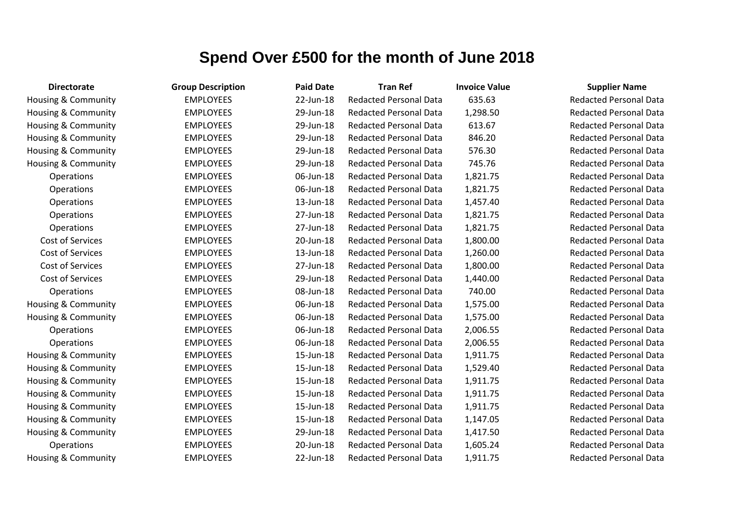| <b>Directorate</b>             | <b>Group Description</b> | <b>Paid Date</b> | <b>Tran Ref</b>               | <b>Invoice Value</b> | <b>Supplier Name</b>          |
|--------------------------------|--------------------------|------------------|-------------------------------|----------------------|-------------------------------|
| Housing & Community            | <b>EMPLOYEES</b>         | 22-Jun-18        | <b>Redacted Personal Data</b> | 635.63               | <b>Redacted Personal Data</b> |
| Housing & Community            | <b>EMPLOYEES</b>         | 29-Jun-18        | <b>Redacted Personal Data</b> | 1,298.50             | <b>Redacted Personal Data</b> |
| Housing & Community            | <b>EMPLOYEES</b>         | 29-Jun-18        | <b>Redacted Personal Data</b> | 613.67               | <b>Redacted Personal Data</b> |
| Housing & Community            | <b>EMPLOYEES</b>         | 29-Jun-18        | <b>Redacted Personal Data</b> | 846.20               | <b>Redacted Personal Data</b> |
| Housing & Community            | <b>EMPLOYEES</b>         | 29-Jun-18        | <b>Redacted Personal Data</b> | 576.30               | <b>Redacted Personal Data</b> |
| Housing & Community            | <b>EMPLOYEES</b>         | 29-Jun-18        | <b>Redacted Personal Data</b> | 745.76               | <b>Redacted Personal Data</b> |
| Operations                     | <b>EMPLOYEES</b>         | 06-Jun-18        | <b>Redacted Personal Data</b> | 1,821.75             | <b>Redacted Personal Data</b> |
| <b>Operations</b>              | <b>EMPLOYEES</b>         | 06-Jun-18        | <b>Redacted Personal Data</b> | 1,821.75             | <b>Redacted Personal Data</b> |
| Operations                     | <b>EMPLOYEES</b>         | 13-Jun-18        | <b>Redacted Personal Data</b> | 1,457.40             | <b>Redacted Personal Data</b> |
| Operations                     | <b>EMPLOYEES</b>         | 27-Jun-18        | <b>Redacted Personal Data</b> | 1,821.75             | <b>Redacted Personal Data</b> |
| Operations                     | <b>EMPLOYEES</b>         | 27-Jun-18        | <b>Redacted Personal Data</b> | 1,821.75             | <b>Redacted Personal Data</b> |
| Cost of Services               | <b>EMPLOYEES</b>         | 20-Jun-18        | <b>Redacted Personal Data</b> | 1,800.00             | <b>Redacted Personal Data</b> |
| Cost of Services               | <b>EMPLOYEES</b>         | 13-Jun-18        | <b>Redacted Personal Data</b> | 1,260.00             | <b>Redacted Personal Data</b> |
| Cost of Services               | <b>EMPLOYEES</b>         | 27-Jun-18        | <b>Redacted Personal Data</b> | 1,800.00             | <b>Redacted Personal Data</b> |
| Cost of Services               | <b>EMPLOYEES</b>         | 29-Jun-18        | <b>Redacted Personal Data</b> | 1,440.00             | <b>Redacted Personal Data</b> |
| Operations                     | <b>EMPLOYEES</b>         | 08-Jun-18        | <b>Redacted Personal Data</b> | 740.00               | <b>Redacted Personal Data</b> |
| Housing & Community            | <b>EMPLOYEES</b>         | 06-Jun-18        | <b>Redacted Personal Data</b> | 1,575.00             | <b>Redacted Personal Data</b> |
| Housing & Community            | <b>EMPLOYEES</b>         | 06-Jun-18        | <b>Redacted Personal Data</b> | 1,575.00             | <b>Redacted Personal Data</b> |
| Operations                     | <b>EMPLOYEES</b>         | 06-Jun-18        | <b>Redacted Personal Data</b> | 2,006.55             | <b>Redacted Personal Data</b> |
| Operations                     | <b>EMPLOYEES</b>         | 06-Jun-18        | <b>Redacted Personal Data</b> | 2,006.55             | <b>Redacted Personal Data</b> |
| Housing & Community            | <b>EMPLOYEES</b>         | 15-Jun-18        | <b>Redacted Personal Data</b> | 1,911.75             | <b>Redacted Personal Data</b> |
| Housing & Community            | <b>EMPLOYEES</b>         | 15-Jun-18        | <b>Redacted Personal Data</b> | 1,529.40             | <b>Redacted Personal Data</b> |
| Housing & Community            | <b>EMPLOYEES</b>         | 15-Jun-18        | <b>Redacted Personal Data</b> | 1,911.75             | <b>Redacted Personal Data</b> |
| Housing & Community            | <b>EMPLOYEES</b>         | 15-Jun-18        | <b>Redacted Personal Data</b> | 1,911.75             | <b>Redacted Personal Data</b> |
| Housing & Community            | <b>EMPLOYEES</b>         | 15-Jun-18        | <b>Redacted Personal Data</b> | 1,911.75             | <b>Redacted Personal Data</b> |
| <b>Housing &amp; Community</b> | <b>EMPLOYEES</b>         | 15-Jun-18        | <b>Redacted Personal Data</b> | 1,147.05             | <b>Redacted Personal Data</b> |
| Housing & Community            | <b>EMPLOYEES</b>         | 29-Jun-18        | <b>Redacted Personal Data</b> | 1,417.50             | <b>Redacted Personal Data</b> |
| Operations                     | <b>EMPLOYEES</b>         | 20-Jun-18        | <b>Redacted Personal Data</b> | 1,605.24             | <b>Redacted Personal Data</b> |
| Housing & Community            | <b>EMPLOYEES</b>         | 22-Jun-18        | <b>Redacted Personal Data</b> | 1,911.75             | <b>Redacted Personal Data</b> |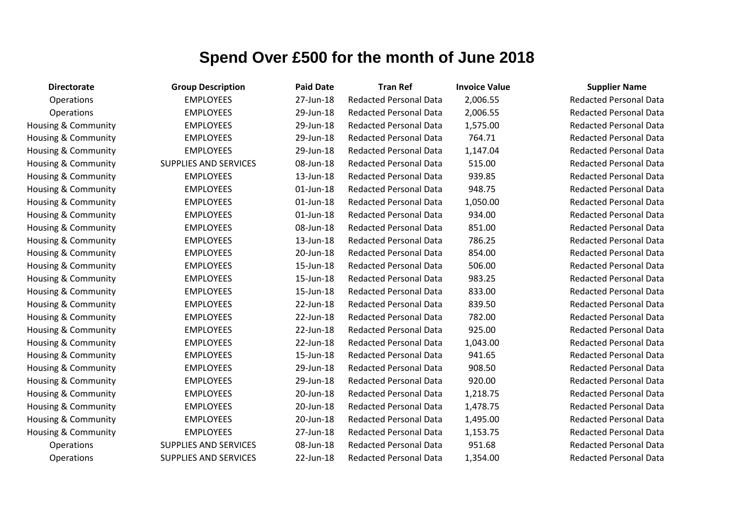| <b>Directorate</b>             | <b>Group Description</b>     | <b>Paid Date</b> | <b>Tran Ref</b>               | <b>Invoice Value</b> | <b>Supplier Name</b>          |
|--------------------------------|------------------------------|------------------|-------------------------------|----------------------|-------------------------------|
| Operations                     | <b>EMPLOYEES</b>             | 27-Jun-18        | <b>Redacted Personal Data</b> | 2,006.55             | <b>Redacted Personal Data</b> |
| <b>Operations</b>              | <b>EMPLOYEES</b>             | 29-Jun-18        | <b>Redacted Personal Data</b> | 2,006.55             | <b>Redacted Personal Data</b> |
| Housing & Community            | <b>EMPLOYEES</b>             | 29-Jun-18        | <b>Redacted Personal Data</b> | 1,575.00             | <b>Redacted Personal Data</b> |
| Housing & Community            | <b>EMPLOYEES</b>             | 29-Jun-18        | <b>Redacted Personal Data</b> | 764.71               | <b>Redacted Personal Data</b> |
| <b>Housing &amp; Community</b> | <b>EMPLOYEES</b>             | 29-Jun-18        | <b>Redacted Personal Data</b> | 1,147.04             | <b>Redacted Personal Data</b> |
| Housing & Community            | <b>SUPPLIES AND SERVICES</b> | 08-Jun-18        | <b>Redacted Personal Data</b> | 515.00               | <b>Redacted Personal Data</b> |
| Housing & Community            | <b>EMPLOYEES</b>             | 13-Jun-18        | <b>Redacted Personal Data</b> | 939.85               | <b>Redacted Personal Data</b> |
| Housing & Community            | <b>EMPLOYEES</b>             | $01$ -Jun-18     | <b>Redacted Personal Data</b> | 948.75               | <b>Redacted Personal Data</b> |
| Housing & Community            | <b>EMPLOYEES</b>             | $01$ -Jun-18     | <b>Redacted Personal Data</b> | 1,050.00             | <b>Redacted Personal Data</b> |
| Housing & Community            | <b>EMPLOYEES</b>             | 01-Jun-18        | <b>Redacted Personal Data</b> | 934.00               | <b>Redacted Personal Data</b> |
| Housing & Community            | <b>EMPLOYEES</b>             | 08-Jun-18        | <b>Redacted Personal Data</b> | 851.00               | <b>Redacted Personal Data</b> |
| Housing & Community            | <b>EMPLOYEES</b>             | 13-Jun-18        | <b>Redacted Personal Data</b> | 786.25               | <b>Redacted Personal Data</b> |
| <b>Housing &amp; Community</b> | <b>EMPLOYEES</b>             | 20-Jun-18        | <b>Redacted Personal Data</b> | 854.00               | <b>Redacted Personal Data</b> |
| <b>Housing &amp; Community</b> | <b>EMPLOYEES</b>             | 15-Jun-18        | <b>Redacted Personal Data</b> | 506.00               | <b>Redacted Personal Data</b> |
| Housing & Community            | <b>EMPLOYEES</b>             | 15-Jun-18        | <b>Redacted Personal Data</b> | 983.25               | <b>Redacted Personal Data</b> |
| Housing & Community            | <b>EMPLOYEES</b>             | 15-Jun-18        | <b>Redacted Personal Data</b> | 833.00               | <b>Redacted Personal Data</b> |
| Housing & Community            | <b>EMPLOYEES</b>             | 22-Jun-18        | <b>Redacted Personal Data</b> | 839.50               | <b>Redacted Personal Data</b> |
| <b>Housing &amp; Community</b> | <b>EMPLOYEES</b>             | 22-Jun-18        | <b>Redacted Personal Data</b> | 782.00               | <b>Redacted Personal Data</b> |
| Housing & Community            | <b>EMPLOYEES</b>             | 22-Jun-18        | <b>Redacted Personal Data</b> | 925.00               | <b>Redacted Personal Data</b> |
| Housing & Community            | <b>EMPLOYEES</b>             | 22-Jun-18        | <b>Redacted Personal Data</b> | 1,043.00             | <b>Redacted Personal Data</b> |
| Housing & Community            | <b>EMPLOYEES</b>             | 15-Jun-18        | <b>Redacted Personal Data</b> | 941.65               | <b>Redacted Personal Data</b> |
| <b>Housing &amp; Community</b> | <b>EMPLOYEES</b>             | 29-Jun-18        | <b>Redacted Personal Data</b> | 908.50               | <b>Redacted Personal Data</b> |
| Housing & Community            | <b>EMPLOYEES</b>             | 29-Jun-18        | <b>Redacted Personal Data</b> | 920.00               | <b>Redacted Personal Data</b> |
| Housing & Community            | <b>EMPLOYEES</b>             | 20-Jun-18        | <b>Redacted Personal Data</b> | 1,218.75             | <b>Redacted Personal Data</b> |
| Housing & Community            | <b>EMPLOYEES</b>             | 20-Jun-18        | <b>Redacted Personal Data</b> | 1,478.75             | <b>Redacted Personal Data</b> |
| <b>Housing &amp; Community</b> | <b>EMPLOYEES</b>             | 20-Jun-18        | <b>Redacted Personal Data</b> | 1,495.00             | <b>Redacted Personal Data</b> |
| Housing & Community            | <b>EMPLOYEES</b>             | 27-Jun-18        | <b>Redacted Personal Data</b> | 1,153.75             | <b>Redacted Personal Data</b> |
| Operations                     | <b>SUPPLIES AND SERVICES</b> | 08-Jun-18        | <b>Redacted Personal Data</b> | 951.68               | <b>Redacted Personal Data</b> |
| Operations                     | <b>SUPPLIES AND SERVICES</b> | 22-Jun-18        | <b>Redacted Personal Data</b> | 1,354.00             | <b>Redacted Personal Data</b> |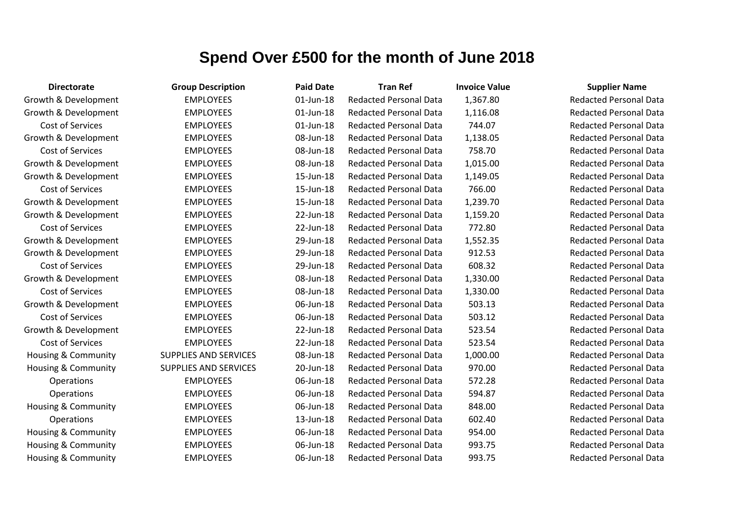| <b>Directorate</b>             | <b>Group Description</b> | <b>Paid Date</b> | <b>Tran Ref</b>               | <b>Invoice Value</b> | <b>Supplier Name</b>          |
|--------------------------------|--------------------------|------------------|-------------------------------|----------------------|-------------------------------|
| Growth & Development           | <b>EMPLOYEES</b>         | 01-Jun-18        | <b>Redacted Personal Data</b> | 1,367.80             | <b>Redacted Personal Data</b> |
| Growth & Development           | <b>EMPLOYEES</b>         | 01-Jun-18        | <b>Redacted Personal Data</b> | 1,116.08             | <b>Redacted Personal Data</b> |
| Cost of Services               | <b>EMPLOYEES</b>         | 01-Jun-18        | <b>Redacted Personal Data</b> | 744.07               | <b>Redacted Personal Data</b> |
| Growth & Development           | <b>EMPLOYEES</b>         | 08-Jun-18        | <b>Redacted Personal Data</b> | 1,138.05             | <b>Redacted Personal Data</b> |
| Cost of Services               | <b>EMPLOYEES</b>         | 08-Jun-18        | <b>Redacted Personal Data</b> | 758.70               | <b>Redacted Personal Data</b> |
| Growth & Development           | <b>EMPLOYEES</b>         | 08-Jun-18        | <b>Redacted Personal Data</b> | 1,015.00             | <b>Redacted Personal Data</b> |
| Growth & Development           | <b>EMPLOYEES</b>         | 15-Jun-18        | <b>Redacted Personal Data</b> | 1,149.05             | <b>Redacted Personal Data</b> |
| Cost of Services               | <b>EMPLOYEES</b>         | 15-Jun-18        | <b>Redacted Personal Data</b> | 766.00               | <b>Redacted Personal Data</b> |
| Growth & Development           | <b>EMPLOYEES</b>         | 15-Jun-18        | <b>Redacted Personal Data</b> | 1,239.70             | <b>Redacted Personal Data</b> |
| Growth & Development           | <b>EMPLOYEES</b>         | 22-Jun-18        | <b>Redacted Personal Data</b> | 1,159.20             | <b>Redacted Personal Data</b> |
| Cost of Services               | <b>EMPLOYEES</b>         | 22-Jun-18        | <b>Redacted Personal Data</b> | 772.80               | <b>Redacted Personal Data</b> |
| Growth & Development           | <b>EMPLOYEES</b>         | 29-Jun-18        | <b>Redacted Personal Data</b> | 1,552.35             | <b>Redacted Personal Data</b> |
| Growth & Development           | <b>EMPLOYEES</b>         | 29-Jun-18        | <b>Redacted Personal Data</b> | 912.53               | <b>Redacted Personal Data</b> |
| Cost of Services               | <b>EMPLOYEES</b>         | 29-Jun-18        | <b>Redacted Personal Data</b> | 608.32               | <b>Redacted Personal Data</b> |
| Growth & Development           | <b>EMPLOYEES</b>         | 08-Jun-18        | <b>Redacted Personal Data</b> | 1,330.00             | <b>Redacted Personal Data</b> |
| Cost of Services               | <b>EMPLOYEES</b>         | 08-Jun-18        | <b>Redacted Personal Data</b> | 1,330.00             | <b>Redacted Personal Data</b> |
| Growth & Development           | <b>EMPLOYEES</b>         | 06-Jun-18        | <b>Redacted Personal Data</b> | 503.13               | <b>Redacted Personal Data</b> |
| Cost of Services               | <b>EMPLOYEES</b>         | 06-Jun-18        | <b>Redacted Personal Data</b> | 503.12               | <b>Redacted Personal Data</b> |
| Growth & Development           | <b>EMPLOYEES</b>         | 22-Jun-18        | <b>Redacted Personal Data</b> | 523.54               | <b>Redacted Personal Data</b> |
| Cost of Services               | <b>EMPLOYEES</b>         | 22-Jun-18        | <b>Redacted Personal Data</b> | 523.54               | <b>Redacted Personal Data</b> |
| Housing & Community            | SUPPLIES AND SERVICES    | 08-Jun-18        | <b>Redacted Personal Data</b> | 1,000.00             | <b>Redacted Personal Data</b> |
| Housing & Community            | SUPPLIES AND SERVICES    | 20-Jun-18        | <b>Redacted Personal Data</b> | 970.00               | <b>Redacted Personal Data</b> |
| Operations                     | <b>EMPLOYEES</b>         | 06-Jun-18        | <b>Redacted Personal Data</b> | 572.28               | <b>Redacted Personal Data</b> |
| Operations                     | <b>EMPLOYEES</b>         | 06-Jun-18        | <b>Redacted Personal Data</b> | 594.87               | <b>Redacted Personal Data</b> |
| <b>Housing &amp; Community</b> | <b>EMPLOYEES</b>         | 06-Jun-18        | <b>Redacted Personal Data</b> | 848.00               | <b>Redacted Personal Data</b> |
| Operations                     | <b>EMPLOYEES</b>         | 13-Jun-18        | <b>Redacted Personal Data</b> | 602.40               | <b>Redacted Personal Data</b> |
| Housing & Community            | <b>EMPLOYEES</b>         | 06-Jun-18        | <b>Redacted Personal Data</b> | 954.00               | <b>Redacted Personal Data</b> |
| Housing & Community            | <b>EMPLOYEES</b>         | 06-Jun-18        | <b>Redacted Personal Data</b> | 993.75               | <b>Redacted Personal Data</b> |
| Housing & Community            | <b>EMPLOYEES</b>         | 06-Jun-18        | <b>Redacted Personal Data</b> | 993.75               | <b>Redacted Personal Data</b> |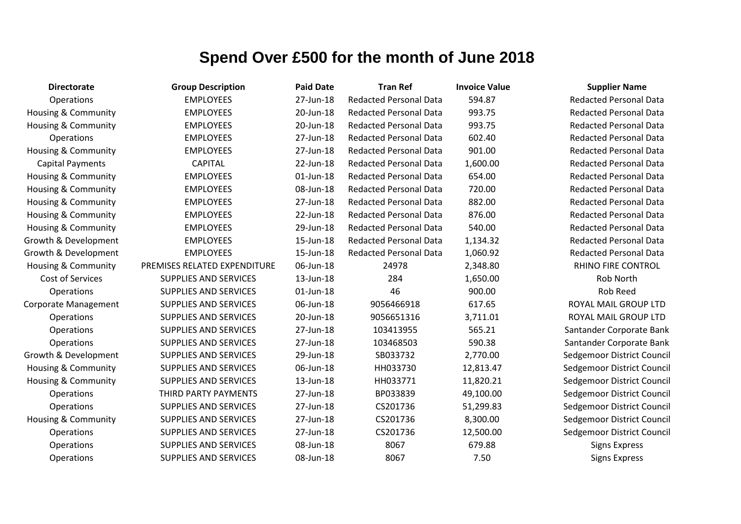| <b>Directorate</b>             | <b>Group Description</b>     | <b>Paid Date</b> | <b>Tran Ref</b>               | <b>Invoice Value</b> | <b>Supplier Name</b>          |
|--------------------------------|------------------------------|------------------|-------------------------------|----------------------|-------------------------------|
| Operations                     | <b>EMPLOYEES</b>             | 27-Jun-18        | <b>Redacted Personal Data</b> | 594.87               | <b>Redacted Personal Data</b> |
| Housing & Community            | <b>EMPLOYEES</b>             | 20-Jun-18        | <b>Redacted Personal Data</b> | 993.75               | <b>Redacted Personal Data</b> |
| Housing & Community            | <b>EMPLOYEES</b>             | 20-Jun-18        | <b>Redacted Personal Data</b> | 993.75               | <b>Redacted Personal Data</b> |
| Operations                     | <b>EMPLOYEES</b>             | 27-Jun-18        | <b>Redacted Personal Data</b> | 602.40               | <b>Redacted Personal Data</b> |
| <b>Housing &amp; Community</b> | <b>EMPLOYEES</b>             | 27-Jun-18        | <b>Redacted Personal Data</b> | 901.00               | <b>Redacted Personal Data</b> |
| <b>Capital Payments</b>        | <b>CAPITAL</b>               | 22-Jun-18        | <b>Redacted Personal Data</b> | 1,600.00             | <b>Redacted Personal Data</b> |
| Housing & Community            | <b>EMPLOYEES</b>             | 01-Jun-18        | <b>Redacted Personal Data</b> | 654.00               | <b>Redacted Personal Data</b> |
| Housing & Community            | <b>EMPLOYEES</b>             | 08-Jun-18        | <b>Redacted Personal Data</b> | 720.00               | <b>Redacted Personal Data</b> |
| <b>Housing &amp; Community</b> | <b>EMPLOYEES</b>             | 27-Jun-18        | <b>Redacted Personal Data</b> | 882.00               | <b>Redacted Personal Data</b> |
| <b>Housing &amp; Community</b> | <b>EMPLOYEES</b>             | 22-Jun-18        | <b>Redacted Personal Data</b> | 876.00               | <b>Redacted Personal Data</b> |
| Housing & Community            | <b>EMPLOYEES</b>             | 29-Jun-18        | <b>Redacted Personal Data</b> | 540.00               | <b>Redacted Personal Data</b> |
| Growth & Development           | <b>EMPLOYEES</b>             | 15-Jun-18        | <b>Redacted Personal Data</b> | 1,134.32             | <b>Redacted Personal Data</b> |
| Growth & Development           | <b>EMPLOYEES</b>             | 15-Jun-18        | <b>Redacted Personal Data</b> | 1,060.92             | <b>Redacted Personal Data</b> |
| <b>Housing &amp; Community</b> | PREMISES RELATED EXPENDITURE | 06-Jun-18        | 24978                         | 2,348.80             | <b>RHINO FIRE CONTROL</b>     |
| Cost of Services               | <b>SUPPLIES AND SERVICES</b> | 13-Jun-18        | 284                           | 1,650.00             | Rob North                     |
| Operations                     | <b>SUPPLIES AND SERVICES</b> | 01-Jun-18        | 46                            | 900.00               | Rob Reed                      |
| Corporate Management           | <b>SUPPLIES AND SERVICES</b> | 06-Jun-18        | 9056466918                    | 617.65               | ROYAL MAIL GROUP LTD          |
| Operations                     | <b>SUPPLIES AND SERVICES</b> | 20-Jun-18        | 9056651316                    | 3,711.01             | ROYAL MAIL GROUP LTD          |
| Operations                     | <b>SUPPLIES AND SERVICES</b> | 27-Jun-18        | 103413955                     | 565.21               | Santander Corporate Ban       |
| <b>Operations</b>              | <b>SUPPLIES AND SERVICES</b> | 27-Jun-18        | 103468503                     | 590.38               | Santander Corporate Ban       |
| Growth & Development           | <b>SUPPLIES AND SERVICES</b> | 29-Jun-18        | SB033732                      | 2,770.00             | Sedgemoor District Cound      |
| <b>Housing &amp; Community</b> | <b>SUPPLIES AND SERVICES</b> | 06-Jun-18        | HH033730                      | 12,813.47            | Sedgemoor District Cound      |
| Housing & Community            | <b>SUPPLIES AND SERVICES</b> | 13-Jun-18        | HH033771                      | 11,820.21            | Sedgemoor District Cound      |
| Operations                     | THIRD PARTY PAYMENTS         | 27-Jun-18        | BP033839                      | 49,100.00            | Sedgemoor District Cound      |
| Operations                     | <b>SUPPLIES AND SERVICES</b> | 27-Jun-18        | CS201736                      | 51,299.83            | Sedgemoor District Cound      |
| Housing & Community            | <b>SUPPLIES AND SERVICES</b> | 27-Jun-18        | CS201736                      | 8,300.00             | Sedgemoor District Cound      |
| Operations                     | <b>SUPPLIES AND SERVICES</b> | 27-Jun-18        | CS201736                      | 12,500.00            | Sedgemoor District Cound      |
| Operations                     | <b>SUPPLIES AND SERVICES</b> | 08-Jun-18        | 8067                          | 679.88               | <b>Signs Express</b>          |
| Operations                     | <b>SUPPLIES AND SERVICES</b> | 08-Jun-18        | 8067                          | 7.50                 | <b>Signs Express</b>          |

**Redacted Personal Data** Redacted Personal Data Redacted Personal Data **Redacted Personal Data Redacted Personal Data** Redacted Personal Data Redacted Personal Data Redacted Personal Data **Redacted Personal Data Bedacted Personal Data** RHINO FIRE CONTROL ROYAL MAIL GROUP LTD ROYAL MAIL GROUP LTD antander Corporate Bank antander Corporate Bank edgemoor District Council edgemoor District Council edgemoor District Council edgemoor District Council edgemoor District Council edgemoor District Council edgemoor District Council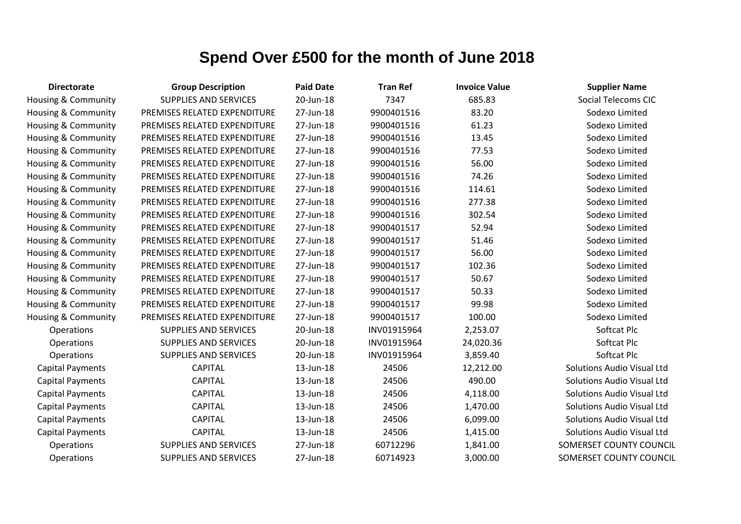| <b>Directorate</b>             | <b>Group Description</b>     | <b>Paid Date</b> | <b>Tran Ref</b> | <b>Invoice Value</b> | <b>Supplier Name</b>              |
|--------------------------------|------------------------------|------------------|-----------------|----------------------|-----------------------------------|
| Housing & Community            | <b>SUPPLIES AND SERVICES</b> | 20-Jun-18        | 7347            | 685.83               | Social Telecoms CIC               |
| <b>Housing &amp; Community</b> | PREMISES RELATED EXPENDITURE | 27-Jun-18        | 9900401516      | 83.20                | Sodexo Limited                    |
| <b>Housing &amp; Community</b> | PREMISES RELATED EXPENDITURE | 27-Jun-18        | 9900401516      | 61.23                | Sodexo Limited                    |
| <b>Housing &amp; Community</b> | PREMISES RELATED EXPENDITURE | 27-Jun-18        | 9900401516      | 13.45                | Sodexo Limited                    |
| Housing & Community            | PREMISES RELATED EXPENDITURE | 27-Jun-18        | 9900401516      | 77.53                | Sodexo Limited                    |
| Housing & Community            | PREMISES RELATED EXPENDITURE | 27-Jun-18        | 9900401516      | 56.00                | Sodexo Limited                    |
| Housing & Community            | PREMISES RELATED EXPENDITURE | 27-Jun-18        | 9900401516      | 74.26                | Sodexo Limited                    |
| <b>Housing &amp; Community</b> | PREMISES RELATED EXPENDITURE | 27-Jun-18        | 9900401516      | 114.61               | Sodexo Limited                    |
| <b>Housing &amp; Community</b> | PREMISES RELATED EXPENDITURE | 27-Jun-18        | 9900401516      | 277.38               | Sodexo Limited                    |
| <b>Housing &amp; Community</b> | PREMISES RELATED EXPENDITURE | 27-Jun-18        | 9900401516      | 302.54               | Sodexo Limited                    |
| <b>Housing &amp; Community</b> | PREMISES RELATED EXPENDITURE | 27-Jun-18        | 9900401517      | 52.94                | Sodexo Limited                    |
| <b>Housing &amp; Community</b> | PREMISES RELATED EXPENDITURE | 27-Jun-18        | 9900401517      | 51.46                | Sodexo Limited                    |
| <b>Housing &amp; Community</b> | PREMISES RELATED EXPENDITURE | 27-Jun-18        | 9900401517      | 56.00                | Sodexo Limited                    |
| <b>Housing &amp; Community</b> | PREMISES RELATED EXPENDITURE | 27-Jun-18        | 9900401517      | 102.36               | Sodexo Limited                    |
| Housing & Community            | PREMISES RELATED EXPENDITURE | 27-Jun-18        | 9900401517      | 50.67                | Sodexo Limited                    |
| <b>Housing &amp; Community</b> | PREMISES RELATED EXPENDITURE | 27-Jun-18        | 9900401517      | 50.33                | Sodexo Limited                    |
| Housing & Community            | PREMISES RELATED EXPENDITURE | 27-Jun-18        | 9900401517      | 99.98                | Sodexo Limited                    |
| Housing & Community            | PREMISES RELATED EXPENDITURE | 27-Jun-18        | 9900401517      | 100.00               | Sodexo Limited                    |
| Operations                     | <b>SUPPLIES AND SERVICES</b> | 20-Jun-18        | INV01915964     | 2,253.07             | Softcat Plc                       |
| Operations                     | <b>SUPPLIES AND SERVICES</b> | 20-Jun-18        | INV01915964     | 24,020.36            | Softcat Plc                       |
| Operations                     | <b>SUPPLIES AND SERVICES</b> | 20-Jun-18        | INV01915964     | 3,859.40             | Softcat Plc                       |
| <b>Capital Payments</b>        | <b>CAPITAL</b>               | 13-Jun-18        | 24506           | 12,212.00            | <b>Solutions Audio Visual Ltd</b> |
| <b>Capital Payments</b>        | <b>CAPITAL</b>               | 13-Jun-18        | 24506           | 490.00               | <b>Solutions Audio Visual Ltd</b> |
| <b>Capital Payments</b>        | <b>CAPITAL</b>               | 13-Jun-18        | 24506           | 4,118.00             | <b>Solutions Audio Visual Ltd</b> |
| <b>Capital Payments</b>        | <b>CAPITAL</b>               | 13-Jun-18        | 24506           | 1,470.00             | <b>Solutions Audio Visual Ltd</b> |
| <b>Capital Payments</b>        | <b>CAPITAL</b>               | 13-Jun-18        | 24506           | 6,099.00             | <b>Solutions Audio Visual Ltd</b> |
| <b>Capital Payments</b>        | <b>CAPITAL</b>               | 13-Jun-18        | 24506           | 1,415.00             | <b>Solutions Audio Visual Ltd</b> |
| Operations                     | <b>SUPPLIES AND SERVICES</b> | 27-Jun-18        | 60712296        | 1,841.00             | SOMERSET COUNTY COUNCIL           |
| Operations                     | <b>SUPPLIES AND SERVICES</b> | 27-Jun-18        | 60714923        | 3,000.00             | SOMERSET COUNTY COUNCIL           |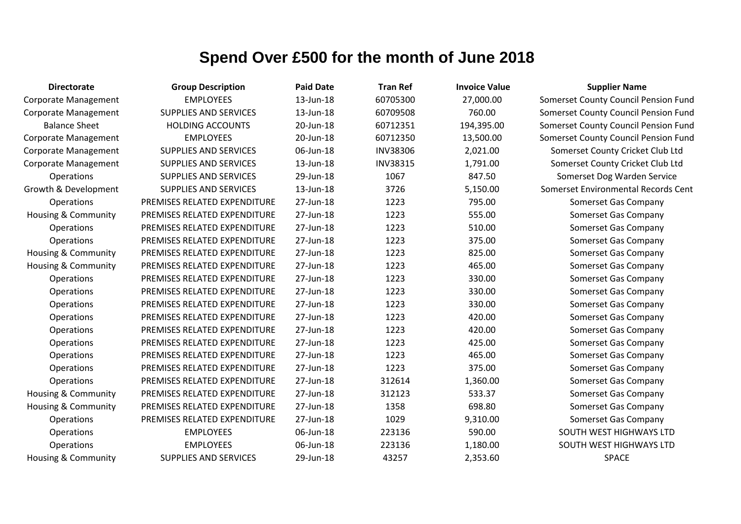| <b>Directorate</b>             | <b>Group Description</b>     | <b>Paid Date</b> | <b>Tran Ref</b> | <b>Invoice Value</b> | <b>Supplier Name</b>                 |
|--------------------------------|------------------------------|------------------|-----------------|----------------------|--------------------------------------|
| <b>Corporate Management</b>    | <b>EMPLOYEES</b>             | 13-Jun-18        | 60705300        | 27,000.00            | Somerset County Council Pension Fund |
| <b>Corporate Management</b>    | <b>SUPPLIES AND SERVICES</b> | 13-Jun-18        | 60709508        | 760.00               | Somerset County Council Pension Fund |
| <b>Balance Sheet</b>           | <b>HOLDING ACCOUNTS</b>      | 20-Jun-18        | 60712351        | 194,395.00           | Somerset County Council Pension Fund |
| <b>Corporate Management</b>    | <b>EMPLOYEES</b>             | 20-Jun-18        | 60712350        | 13,500.00            | Somerset County Council Pension Fund |
| Corporate Management           | SUPPLIES AND SERVICES        | 06-Jun-18        | <b>INV38306</b> | 2,021.00             | Somerset County Cricket Club Ltd     |
| Corporate Management           | SUPPLIES AND SERVICES        | 13-Jun-18        | <b>INV38315</b> | 1,791.00             | Somerset County Cricket Club Ltd     |
| Operations                     | SUPPLIES AND SERVICES        | 29-Jun-18        | 1067            | 847.50               | Somerset Dog Warden Service          |
| Growth & Development           | <b>SUPPLIES AND SERVICES</b> | 13-Jun-18        | 3726            | 5,150.00             | Somerset Environmental Records Cent  |
| Operations                     | PREMISES RELATED EXPENDITURE | 27-Jun-18        | 1223            | 795.00               | Somerset Gas Company                 |
| <b>Housing &amp; Community</b> | PREMISES RELATED EXPENDITURE | 27-Jun-18        | 1223            | 555.00               | Somerset Gas Company                 |
| Operations                     | PREMISES RELATED EXPENDITURE | 27-Jun-18        | 1223            | 510.00               | Somerset Gas Company                 |
| Operations                     | PREMISES RELATED EXPENDITURE | 27-Jun-18        | 1223            | 375.00               | Somerset Gas Company                 |
| <b>Housing &amp; Community</b> | PREMISES RELATED EXPENDITURE | 27-Jun-18        | 1223            | 825.00               | Somerset Gas Company                 |
| <b>Housing &amp; Community</b> | PREMISES RELATED EXPENDITURE | 27-Jun-18        | 1223            | 465.00               | Somerset Gas Company                 |
| Operations                     | PREMISES RELATED EXPENDITURE | 27-Jun-18        | 1223            | 330.00               | Somerset Gas Company                 |
| Operations                     | PREMISES RELATED EXPENDITURE | 27-Jun-18        | 1223            | 330.00               | Somerset Gas Company                 |
| Operations                     | PREMISES RELATED EXPENDITURE | 27-Jun-18        | 1223            | 330.00               | Somerset Gas Company                 |
| Operations                     | PREMISES RELATED EXPENDITURE | 27-Jun-18        | 1223            | 420.00               | Somerset Gas Company                 |
| Operations                     | PREMISES RELATED EXPENDITURE | 27-Jun-18        | 1223            | 420.00               | Somerset Gas Company                 |
| Operations                     | PREMISES RELATED EXPENDITURE | 27-Jun-18        | 1223            | 425.00               | Somerset Gas Company                 |
| Operations                     | PREMISES RELATED EXPENDITURE | 27-Jun-18        | 1223            | 465.00               | Somerset Gas Company                 |
| Operations                     | PREMISES RELATED EXPENDITURE | 27-Jun-18        | 1223            | 375.00               | Somerset Gas Company                 |
| Operations                     | PREMISES RELATED EXPENDITURE | 27-Jun-18        | 312614          | 1,360.00             | Somerset Gas Company                 |
| <b>Housing &amp; Community</b> | PREMISES RELATED EXPENDITURE | 27-Jun-18        | 312123          | 533.37               | Somerset Gas Company                 |
| <b>Housing &amp; Community</b> | PREMISES RELATED EXPENDITURE | 27-Jun-18        | 1358            | 698.80               | Somerset Gas Company                 |
| Operations                     | PREMISES RELATED EXPENDITURE | 27-Jun-18        | 1029            | 9,310.00             | Somerset Gas Company                 |
| Operations                     | <b>EMPLOYEES</b>             | 06-Jun-18        | 223136          | 590.00               | SOUTH WEST HIGHWAYS LTD              |
| Operations                     | <b>EMPLOYEES</b>             | 06-Jun-18        | 223136          | 1,180.00             | SOUTH WEST HIGHWAYS LTD              |
| <b>Housing &amp; Community</b> | <b>SUPPLIES AND SERVICES</b> | 29-Jun-18        | 43257           | 2,353.60             | <b>SPACE</b>                         |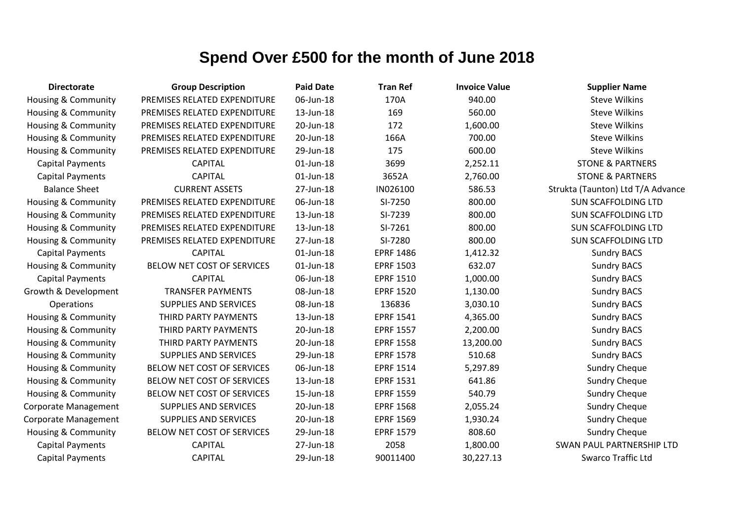| <b>Directorate</b>             | <b>Group Description</b>     | <b>Paid Date</b> | <b>Tran Ref</b>  | <b>Invoice Value</b> | <b>Supplier Name</b>              |
|--------------------------------|------------------------------|------------------|------------------|----------------------|-----------------------------------|
| Housing & Community            | PREMISES RELATED EXPENDITURE | 06-Jun-18        | 170A             | 940.00               | <b>Steve Wilkins</b>              |
| Housing & Community            | PREMISES RELATED EXPENDITURE | 13-Jun-18        | 169              | 560.00               | <b>Steve Wilkins</b>              |
| Housing & Community            | PREMISES RELATED EXPENDITURE | 20-Jun-18        | 172              | 1,600.00             | <b>Steve Wilkins</b>              |
| Housing & Community            | PREMISES RELATED EXPENDITURE | 20-Jun-18        | 166A             | 700.00               | <b>Steve Wilkins</b>              |
| Housing & Community            | PREMISES RELATED EXPENDITURE | 29-Jun-18        | 175              | 600.00               | <b>Steve Wilkins</b>              |
| <b>Capital Payments</b>        | <b>CAPITAL</b>               | $01$ -Jun-18     | 3699             | 2,252.11             | <b>STONE &amp; PARTNERS</b>       |
| <b>Capital Payments</b>        | <b>CAPITAL</b>               | 01-Jun-18        | 3652A            | 2,760.00             | <b>STONE &amp; PARTNERS</b>       |
| <b>Balance Sheet</b>           | <b>CURRENT ASSETS</b>        | 27-Jun-18        | IN026100         | 586.53               | Strukta (Taunton) Ltd T/A Advance |
| Housing & Community            | PREMISES RELATED EXPENDITURE | 06-Jun-18        | SI-7250          | 800.00               | <b>SUN SCAFFOLDING LTD</b>        |
| <b>Housing &amp; Community</b> | PREMISES RELATED EXPENDITURE | 13-Jun-18        | SI-7239          | 800.00               | <b>SUN SCAFFOLDING LTD</b>        |
| <b>Housing &amp; Community</b> | PREMISES RELATED EXPENDITURE | 13-Jun-18        | SI-7261          | 800.00               | <b>SUN SCAFFOLDING LTD</b>        |
| Housing & Community            | PREMISES RELATED EXPENDITURE | 27-Jun-18        | SI-7280          | 800.00               | <b>SUN SCAFFOLDING LTD</b>        |
| <b>Capital Payments</b>        | <b>CAPITAL</b>               | 01-Jun-18        | <b>EPRF 1486</b> | 1,412.32             | <b>Sundry BACS</b>                |
| Housing & Community            | BELOW NET COST OF SERVICES   | 01-Jun-18        | <b>EPRF 1503</b> | 632.07               | <b>Sundry BACS</b>                |
| <b>Capital Payments</b>        | <b>CAPITAL</b>               | 06-Jun-18        | <b>EPRF 1510</b> | 1,000.00             | <b>Sundry BACS</b>                |
| Growth & Development           | <b>TRANSFER PAYMENTS</b>     | 08-Jun-18        | <b>EPRF 1520</b> | 1,130.00             | <b>Sundry BACS</b>                |
| Operations                     | SUPPLIES AND SERVICES        | 08-Jun-18        | 136836           | 3,030.10             | <b>Sundry BACS</b>                |
| Housing & Community            | THIRD PARTY PAYMENTS         | 13-Jun-18        | <b>EPRF 1541</b> | 4,365.00             | <b>Sundry BACS</b>                |
| <b>Housing &amp; Community</b> | THIRD PARTY PAYMENTS         | 20-Jun-18        | <b>EPRF 1557</b> | 2,200.00             | <b>Sundry BACS</b>                |
| <b>Housing &amp; Community</b> | THIRD PARTY PAYMENTS         | 20-Jun-18        | <b>EPRF 1558</b> | 13,200.00            | <b>Sundry BACS</b>                |
| <b>Housing &amp; Community</b> | <b>SUPPLIES AND SERVICES</b> | 29-Jun-18        | <b>EPRF 1578</b> | 510.68               | <b>Sundry BACS</b>                |
| Housing & Community            | BELOW NET COST OF SERVICES   | 06-Jun-18        | <b>EPRF 1514</b> | 5,297.89             | <b>Sundry Cheque</b>              |
| <b>Housing &amp; Community</b> | BELOW NET COST OF SERVICES   | 13-Jun-18        | <b>EPRF 1531</b> | 641.86               | <b>Sundry Cheque</b>              |
| <b>Housing &amp; Community</b> | BELOW NET COST OF SERVICES   | 15-Jun-18        | <b>EPRF 1559</b> | 540.79               | <b>Sundry Cheque</b>              |
| Corporate Management           | <b>SUPPLIES AND SERVICES</b> | 20-Jun-18        | <b>EPRF 1568</b> | 2,055.24             | <b>Sundry Cheque</b>              |
| Corporate Management           | <b>SUPPLIES AND SERVICES</b> | 20-Jun-18        | <b>EPRF 1569</b> | 1,930.24             | <b>Sundry Cheque</b>              |
| Housing & Community            | BELOW NET COST OF SERVICES   | 29-Jun-18        | <b>EPRF 1579</b> | 808.60               | <b>Sundry Cheque</b>              |
| <b>Capital Payments</b>        | <b>CAPITAL</b>               | 27-Jun-18        | 2058             | 1,800.00             | <b>SWAN PAUL PARTNERSHIP LTD</b>  |
| <b>Capital Payments</b>        | <b>CAPITAL</b>               | 29-Jun-18        | 90011400         | 30,227.13            | <b>Swarco Traffic Ltd</b>         |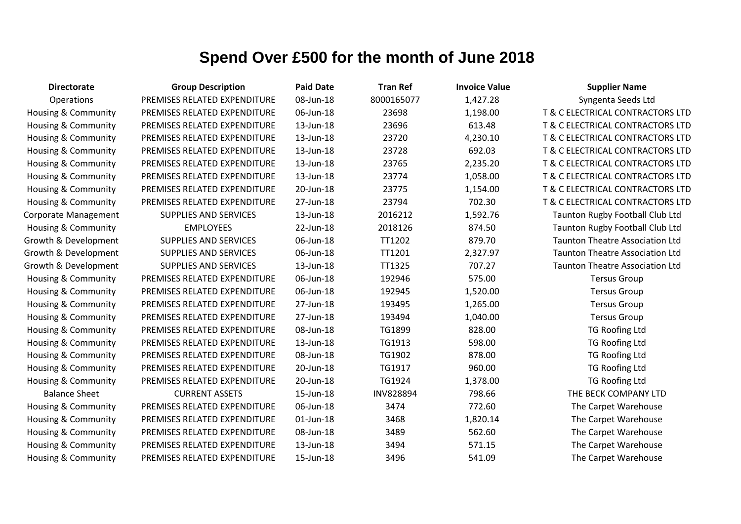| <b>Directorate</b>             | <b>Group Description</b>     | <b>Paid Date</b> | <b>Tran Ref</b>  | <b>Invoice Value</b> | <b>Supplier Name</b>                   |
|--------------------------------|------------------------------|------------------|------------------|----------------------|----------------------------------------|
| Operations                     | PREMISES RELATED EXPENDITURE | 08-Jun-18        | 8000165077       | 1,427.28             | Syngenta Seeds Ltd                     |
| <b>Housing &amp; Community</b> | PREMISES RELATED EXPENDITURE | 06-Jun-18        | 23698            | 1,198.00             | T & C ELECTRICAL CONTRACTORS LTD       |
| Housing & Community            | PREMISES RELATED EXPENDITURE | 13-Jun-18        | 23696            | 613.48               | T & C ELECTRICAL CONTRACTORS LTD       |
| Housing & Community            | PREMISES RELATED EXPENDITURE | 13-Jun-18        | 23720            | 4,230.10             | T & C ELECTRICAL CONTRACTORS LTD       |
| <b>Housing &amp; Community</b> | PREMISES RELATED EXPENDITURE | 13-Jun-18        | 23728            | 692.03               | T & C ELECTRICAL CONTRACTORS LTD       |
| <b>Housing &amp; Community</b> | PREMISES RELATED EXPENDITURE | 13-Jun-18        | 23765            | 2,235.20             | T & C ELECTRICAL CONTRACTORS LTD       |
| Housing & Community            | PREMISES RELATED EXPENDITURE | 13-Jun-18        | 23774            | 1,058.00             | T & C ELECTRICAL CONTRACTORS LTD       |
| Housing & Community            | PREMISES RELATED EXPENDITURE | 20-Jun-18        | 23775            | 1,154.00             | T & C ELECTRICAL CONTRACTORS LTD       |
| <b>Housing &amp; Community</b> | PREMISES RELATED EXPENDITURE | 27-Jun-18        | 23794            | 702.30               | T & C ELECTRICAL CONTRACTORS LTD       |
| Corporate Management           | <b>SUPPLIES AND SERVICES</b> | 13-Jun-18        | 2016212          | 1,592.76             | Taunton Rugby Football Club Ltd        |
| Housing & Community            | <b>EMPLOYEES</b>             | 22-Jun-18        | 2018126          | 874.50               | Taunton Rugby Football Club Ltd        |
| Growth & Development           | <b>SUPPLIES AND SERVICES</b> | 06-Jun-18        | TT1202           | 879.70               | <b>Taunton Theatre Association Ltd</b> |
| Growth & Development           | <b>SUPPLIES AND SERVICES</b> | 06-Jun-18        | TT1201           | 2,327.97             | <b>Taunton Theatre Association Ltd</b> |
| Growth & Development           | <b>SUPPLIES AND SERVICES</b> | 13-Jun-18        | TT1325           | 707.27               | <b>Taunton Theatre Association Ltd</b> |
| Housing & Community            | PREMISES RELATED EXPENDITURE | 06-Jun-18        | 192946           | 575.00               | <b>Tersus Group</b>                    |
| <b>Housing &amp; Community</b> | PREMISES RELATED EXPENDITURE | 06-Jun-18        | 192945           | 1,520.00             | <b>Tersus Group</b>                    |
| <b>Housing &amp; Community</b> | PREMISES RELATED EXPENDITURE | 27-Jun-18        | 193495           | 1,265.00             | <b>Tersus Group</b>                    |
| <b>Housing &amp; Community</b> | PREMISES RELATED EXPENDITURE | 27-Jun-18        | 193494           | 1,040.00             | <b>Tersus Group</b>                    |
| Housing & Community            | PREMISES RELATED EXPENDITURE | 08-Jun-18        | TG1899           | 828.00               | <b>TG Roofing Ltd</b>                  |
| Housing & Community            | PREMISES RELATED EXPENDITURE | 13-Jun-18        | TG1913           | 598.00               | <b>TG Roofing Ltd</b>                  |
| <b>Housing &amp; Community</b> | PREMISES RELATED EXPENDITURE | 08-Jun-18        | TG1902           | 878.00               | <b>TG Roofing Ltd</b>                  |
| <b>Housing &amp; Community</b> | PREMISES RELATED EXPENDITURE | 20-Jun-18        | TG1917           | 960.00               | <b>TG Roofing Ltd</b>                  |
| Housing & Community            | PREMISES RELATED EXPENDITURE | 20-Jun-18        | TG1924           | 1,378.00             | TG Roofing Ltd                         |
| <b>Balance Sheet</b>           | <b>CURRENT ASSETS</b>        | 15-Jun-18        | <b>INV828894</b> | 798.66               | THE BECK COMPANY LTD                   |
| <b>Housing &amp; Community</b> | PREMISES RELATED EXPENDITURE | 06-Jun-18        | 3474             | 772.60               | The Carpet Warehouse                   |
| <b>Housing &amp; Community</b> | PREMISES RELATED EXPENDITURE | 01-Jun-18        | 3468             | 1,820.14             | The Carpet Warehouse                   |
| Housing & Community            | PREMISES RELATED EXPENDITURE | 08-Jun-18        | 3489             | 562.60               | The Carpet Warehouse                   |
| <b>Housing &amp; Community</b> | PREMISES RELATED EXPENDITURE | 13-Jun-18        | 3494             | 571.15               | The Carpet Warehouse                   |
| Housing & Community            | PREMISES RELATED EXPENDITURE | 15-Jun-18        | 3496             | 541.09               | The Carpet Warehouse                   |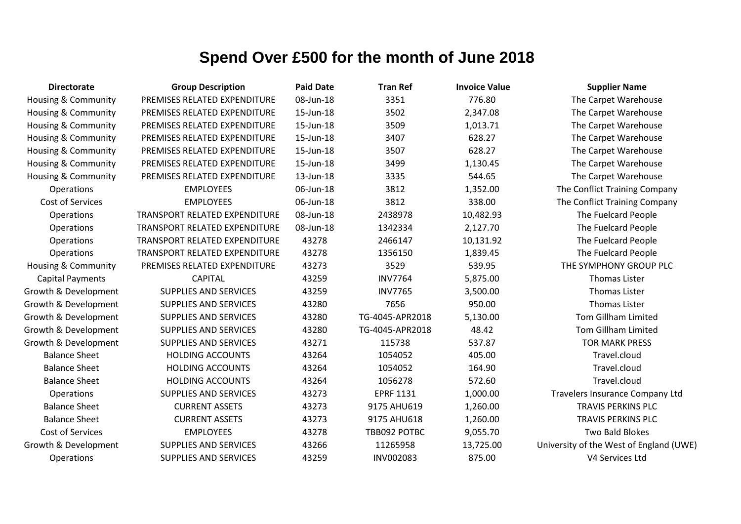| <b>Directorate</b>      | <b>Group Description</b>             | <b>Paid Date</b> | <b>Tran Ref</b>  | <b>Invoice Value</b> | <b>Supplier Name</b>                    |
|-------------------------|--------------------------------------|------------------|------------------|----------------------|-----------------------------------------|
| Housing & Community     | PREMISES RELATED EXPENDITURE         | 08-Jun-18        | 3351             | 776.80               | The Carpet Warehouse                    |
| Housing & Community     | PREMISES RELATED EXPENDITURE         | 15-Jun-18        | 3502             | 2,347.08             | The Carpet Warehouse                    |
| Housing & Community     | PREMISES RELATED EXPENDITURE         | 15-Jun-18        | 3509             | 1,013.71             | The Carpet Warehouse                    |
| Housing & Community     | PREMISES RELATED EXPENDITURE         | 15-Jun-18        | 3407             | 628.27               | The Carpet Warehouse                    |
| Housing & Community     | PREMISES RELATED EXPENDITURE         | 15-Jun-18        | 3507             | 628.27               | The Carpet Warehouse                    |
| Housing & Community     | PREMISES RELATED EXPENDITURE         | 15-Jun-18        | 3499             | 1,130.45             | The Carpet Warehouse                    |
| Housing & Community     | PREMISES RELATED EXPENDITURE         | 13-Jun-18        | 3335             | 544.65               | The Carpet Warehouse                    |
| Operations              | <b>EMPLOYEES</b>                     | 06-Jun-18        | 3812             | 1,352.00             | The Conflict Training Company           |
| Cost of Services        | <b>EMPLOYEES</b>                     | 06-Jun-18        | 3812             | 338.00               | The Conflict Training Company           |
| Operations              | TRANSPORT RELATED EXPENDITURE        | 08-Jun-18        | 2438978          | 10,482.93            | The Fuelcard People                     |
| Operations              | <b>TRANSPORT RELATED EXPENDITURE</b> | 08-Jun-18        | 1342334          | 2,127.70             | The Fuelcard People                     |
| Operations              | TRANSPORT RELATED EXPENDITURE        | 43278            | 2466147          | 10,131.92            | The Fuelcard People                     |
| Operations              | TRANSPORT RELATED EXPENDITURE        | 43278            | 1356150          | 1,839.45             | The Fuelcard People                     |
| Housing & Community     | PREMISES RELATED EXPENDITURE         | 43273            | 3529             | 539.95               | THE SYMPHONY GROUP PLC                  |
| <b>Capital Payments</b> | <b>CAPITAL</b>                       | 43259            | <b>INV7764</b>   | 5,875.00             | <b>Thomas Lister</b>                    |
| Growth & Development    | <b>SUPPLIES AND SERVICES</b>         | 43259            | <b>INV7765</b>   | 3,500.00             | <b>Thomas Lister</b>                    |
| Growth & Development    | <b>SUPPLIES AND SERVICES</b>         | 43280            | 7656             | 950.00               | <b>Thomas Lister</b>                    |
| Growth & Development    | <b>SUPPLIES AND SERVICES</b>         | 43280            | TG-4045-APR2018  | 5,130.00             | <b>Tom Gillham Limited</b>              |
| Growth & Development    | <b>SUPPLIES AND SERVICES</b>         | 43280            | TG-4045-APR2018  | 48.42                | <b>Tom Gillham Limited</b>              |
| Growth & Development    | <b>SUPPLIES AND SERVICES</b>         | 43271            | 115738           | 537.87               | <b>TOR MARK PRESS</b>                   |
| <b>Balance Sheet</b>    | <b>HOLDING ACCOUNTS</b>              | 43264            | 1054052          | 405.00               | Travel.cloud                            |
| <b>Balance Sheet</b>    | <b>HOLDING ACCOUNTS</b>              | 43264            | 1054052          | 164.90               | Travel.cloud                            |
| <b>Balance Sheet</b>    | <b>HOLDING ACCOUNTS</b>              | 43264            | 1056278          | 572.60               | Travel.cloud                            |
| Operations              | <b>SUPPLIES AND SERVICES</b>         | 43273            | <b>EPRF 1131</b> | 1,000.00             | Travelers Insurance Company Ltd         |
| <b>Balance Sheet</b>    | <b>CURRENT ASSETS</b>                | 43273            | 9175 AHU619      | 1,260.00             | <b>TRAVIS PERKINS PLC</b>               |
| <b>Balance Sheet</b>    | <b>CURRENT ASSETS</b>                | 43273            | 9175 AHU618      | 1,260.00             | <b>TRAVIS PERKINS PLC</b>               |
| Cost of Services        | <b>EMPLOYEES</b>                     | 43278            | TBB092 POTBC     | 9,055.70             | Two Bald Blokes                         |
| Growth & Development    | <b>SUPPLIES AND SERVICES</b>         | 43266            | 11265958         | 13,725.00            | University of the West of England (UWE) |
| Operations              | <b>SUPPLIES AND SERVICES</b>         | 43259            | INV002083        | 875.00               | V4 Services Ltd                         |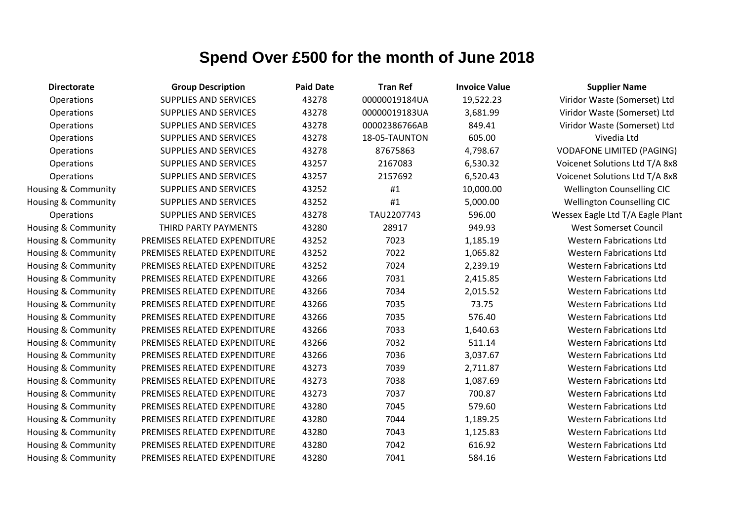| <b>Directorate</b>  | <b>Group Description</b>     | <b>Paid Date</b> | <b>Tran Ref</b> | <b>Invoice Value</b> | <b>Supplier Name</b>              |
|---------------------|------------------------------|------------------|-----------------|----------------------|-----------------------------------|
| Operations          | <b>SUPPLIES AND SERVICES</b> | 43278            | 00000019184UA   | 19,522.23            | Viridor Waste (Somerset) Ltd      |
| <b>Operations</b>   | <b>SUPPLIES AND SERVICES</b> | 43278            | 00000019183UA   | 3,681.99             | Viridor Waste (Somerset) Ltd      |
| Operations          | SUPPLIES AND SERVICES        | 43278            | 00002386766AB   | 849.41               | Viridor Waste (Somerset) Ltd      |
| Operations          | <b>SUPPLIES AND SERVICES</b> | 43278            | 18-05-TAUNTON   | 605.00               | Vivedia Ltd                       |
| Operations          | <b>SUPPLIES AND SERVICES</b> | 43278            | 87675863        | 4,798.67             | <b>VODAFONE LIMITED (PAGING)</b>  |
| Operations          | <b>SUPPLIES AND SERVICES</b> | 43257            | 2167083         | 6,530.32             | Voicenet Solutions Ltd T/A 8x8    |
| Operations          | <b>SUPPLIES AND SERVICES</b> | 43257            | 2157692         | 6,520.43             | Voicenet Solutions Ltd T/A 8x8    |
| Housing & Community | <b>SUPPLIES AND SERVICES</b> | 43252            | #1              | 10,000.00            | <b>Wellington Counselling CIC</b> |
| Housing & Community | <b>SUPPLIES AND SERVICES</b> | 43252            | #1              | 5,000.00             | <b>Wellington Counselling CIC</b> |
| Operations          | <b>SUPPLIES AND SERVICES</b> | 43278            | TAU2207743      | 596.00               | Wessex Eagle Ltd T/A Eagle Plant  |
| Housing & Community | THIRD PARTY PAYMENTS         | 43280            | 28917           | 949.93               | <b>West Somerset Council</b>      |
| Housing & Community | PREMISES RELATED EXPENDITURE | 43252            | 7023            | 1,185.19             | <b>Western Fabrications Ltd</b>   |
| Housing & Community | PREMISES RELATED EXPENDITURE | 43252            | 7022            | 1,065.82             | <b>Western Fabrications Ltd</b>   |
| Housing & Community | PREMISES RELATED EXPENDITURE | 43252            | 7024            | 2,239.19             | <b>Western Fabrications Ltd</b>   |
| Housing & Community | PREMISES RELATED EXPENDITURE | 43266            | 7031            | 2,415.85             | <b>Western Fabrications Ltd</b>   |
| Housing & Community | PREMISES RELATED EXPENDITURE | 43266            | 7034            | 2,015.52             | <b>Western Fabrications Ltd</b>   |
| Housing & Community | PREMISES RELATED EXPENDITURE | 43266            | 7035            | 73.75                | <b>Western Fabrications Ltd</b>   |
| Housing & Community | PREMISES RELATED EXPENDITURE | 43266            | 7035            | 576.40               | <b>Western Fabrications Ltd</b>   |
| Housing & Community | PREMISES RELATED EXPENDITURE | 43266            | 7033            | 1,640.63             | <b>Western Fabrications Ltd</b>   |
| Housing & Community | PREMISES RELATED EXPENDITURE | 43266            | 7032            | 511.14               | <b>Western Fabrications Ltd</b>   |
| Housing & Community | PREMISES RELATED EXPENDITURE | 43266            | 7036            | 3,037.67             | <b>Western Fabrications Ltd</b>   |
| Housing & Community | PREMISES RELATED EXPENDITURE | 43273            | 7039            | 2,711.87             | <b>Western Fabrications Ltd</b>   |
| Housing & Community | PREMISES RELATED EXPENDITURE | 43273            | 7038            | 1,087.69             | <b>Western Fabrications Ltd</b>   |
| Housing & Community | PREMISES RELATED EXPENDITURE | 43273            | 7037            | 700.87               | <b>Western Fabrications Ltd</b>   |
| Housing & Community | PREMISES RELATED EXPENDITURE | 43280            | 7045            | 579.60               | <b>Western Fabrications Ltd</b>   |
| Housing & Community | PREMISES RELATED EXPENDITURE | 43280            | 7044            | 1,189.25             | <b>Western Fabrications Ltd</b>   |
| Housing & Community | PREMISES RELATED EXPENDITURE | 43280            | 7043            | 1,125.83             | <b>Western Fabrications Ltd</b>   |
| Housing & Community | PREMISES RELATED EXPENDITURE | 43280            | 7042            | 616.92               | <b>Western Fabrications Ltd</b>   |
| Housing & Community | PREMISES RELATED EXPENDITURE | 43280            | 7041            | 584.16               | <b>Western Fabrications Ltd</b>   |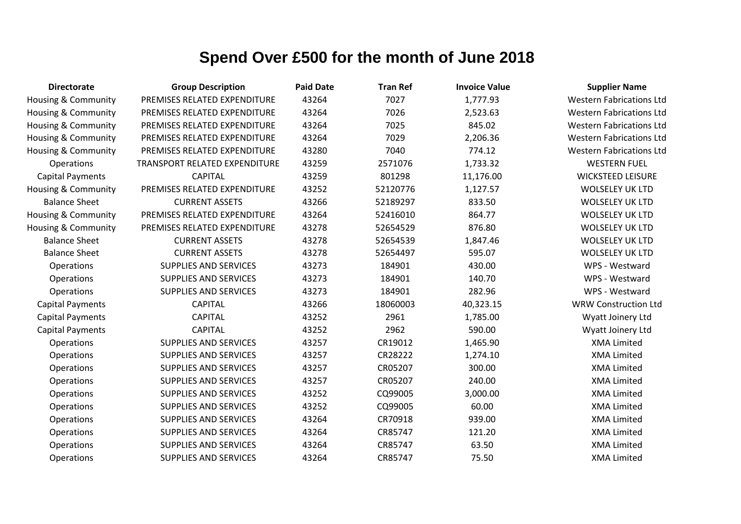| <b>Directorate</b>             | <b>Group Description</b>      | <b>Paid Date</b> | <b>Tran Ref</b> | <b>Invoice Value</b> | <b>Supplier Name</b>            |
|--------------------------------|-------------------------------|------------------|-----------------|----------------------|---------------------------------|
| Housing & Community            | PREMISES RELATED EXPENDITURE  | 43264            | 7027            | 1,777.93             | <b>Western Fabrications Ltd</b> |
| Housing & Community            | PREMISES RELATED EXPENDITURE  | 43264            | 7026            | 2,523.63             | <b>Western Fabrications Ltd</b> |
| Housing & Community            | PREMISES RELATED EXPENDITURE  | 43264            | 7025            | 845.02               | <b>Western Fabrications Ltd</b> |
| Housing & Community            | PREMISES RELATED EXPENDITURE  | 43264            | 7029            | 2,206.36             | <b>Western Fabrications Ltd</b> |
| <b>Housing &amp; Community</b> | PREMISES RELATED EXPENDITURE  | 43280            | 7040            | 774.12               | <b>Western Fabrications Ltd</b> |
| Operations                     | TRANSPORT RELATED EXPENDITURE | 43259            | 2571076         | 1,733.32             | <b>WESTERN FUEL</b>             |
| <b>Capital Payments</b>        | <b>CAPITAL</b>                | 43259            | 801298          | 11,176.00            | <b>WICKSTEED LEISURE</b>        |
| Housing & Community            | PREMISES RELATED EXPENDITURE  | 43252            | 52120776        | 1,127.57             | <b>WOLSELEY UK LTD</b>          |
| <b>Balance Sheet</b>           | <b>CURRENT ASSETS</b>         | 43266            | 52189297        | 833.50               | <b>WOLSELEY UK LTD</b>          |
| Housing & Community            | PREMISES RELATED EXPENDITURE  | 43264            | 52416010        | 864.77               | <b>WOLSELEY UK LTD</b>          |
| Housing & Community            | PREMISES RELATED EXPENDITURE  | 43278            | 52654529        | 876.80               | <b>WOLSELEY UK LTD</b>          |
| <b>Balance Sheet</b>           | <b>CURRENT ASSETS</b>         | 43278            | 52654539        | 1,847.46             | <b>WOLSELEY UK LTD</b>          |
| <b>Balance Sheet</b>           | <b>CURRENT ASSETS</b>         | 43278            | 52654497        | 595.07               | <b>WOLSELEY UK LTD</b>          |
| Operations                     | <b>SUPPLIES AND SERVICES</b>  | 43273            | 184901          | 430.00               | WPS - Westward                  |
| Operations                     | <b>SUPPLIES AND SERVICES</b>  | 43273            | 184901          | 140.70               | WPS - Westward                  |
| Operations                     | <b>SUPPLIES AND SERVICES</b>  | 43273            | 184901          | 282.96               | WPS - Westward                  |
| <b>Capital Payments</b>        | <b>CAPITAL</b>                | 43266            | 18060003        | 40,323.15            | <b>WRW Construction Ltd</b>     |
| <b>Capital Payments</b>        | <b>CAPITAL</b>                | 43252            | 2961            | 1,785.00             | Wyatt Joinery Ltd               |
| <b>Capital Payments</b>        | <b>CAPITAL</b>                | 43252            | 2962            | 590.00               | Wyatt Joinery Ltd               |
| Operations                     | <b>SUPPLIES AND SERVICES</b>  | 43257            | CR19012         | 1,465.90             | <b>XMA Limited</b>              |
| Operations                     | <b>SUPPLIES AND SERVICES</b>  | 43257            | CR28222         | 1,274.10             | <b>XMA Limited</b>              |
| Operations                     | <b>SUPPLIES AND SERVICES</b>  | 43257            | CR05207         | 300.00               | <b>XMA Limited</b>              |
| Operations                     | <b>SUPPLIES AND SERVICES</b>  | 43257            | CR05207         | 240.00               | <b>XMA Limited</b>              |
| Operations                     | <b>SUPPLIES AND SERVICES</b>  | 43252            | CQ99005         | 3,000.00             | <b>XMA Limited</b>              |
| Operations                     | <b>SUPPLIES AND SERVICES</b>  | 43252            | CQ99005         | 60.00                | <b>XMA Limited</b>              |
| Operations                     | <b>SUPPLIES AND SERVICES</b>  | 43264            | CR70918         | 939.00               | <b>XMA Limited</b>              |
| Operations                     | <b>SUPPLIES AND SERVICES</b>  | 43264            | CR85747         | 121.20               | <b>XMA Limited</b>              |
| Operations                     | <b>SUPPLIES AND SERVICES</b>  | 43264            | CR85747         | 63.50                | <b>XMA Limited</b>              |
| Operations                     | <b>SUPPLIES AND SERVICES</b>  | 43264            | CR85747         | 75.50                | <b>XMA Limited</b>              |